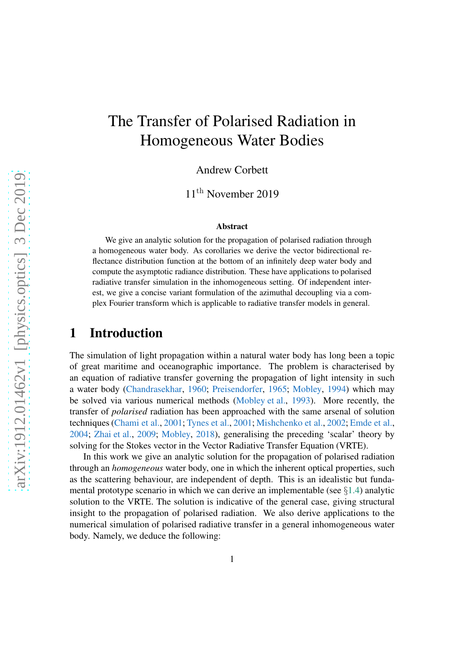# The Transfer of Polarised Radiation in Homogeneous Water Bodies

Andrew Corbett

11th November 2019

#### Abstract

We give an analytic solution for the propagation of polarised radiation through a homogeneous water body. As corollaries we derive the vector bidirectional reflectance distribution function at the bottom of an infinitely deep water body and compute the asymptotic radiance distribution. These have applications to polarised radiative transfer simulation in the inhomogeneous setting. Of independent interest, we give a concise variant formulation of the azimuthal decoupling via a complex Fourier transform which is applicable to radiative transfer models in general.

## 1 Introduction

The simulation of light propagation within a natural water body has long been a topic of great maritime and oceanographic importance. The problem is characterised by an equation of radiative transfer governing the propagation of light intensity in such a water body [\(Chandrasekhar](#page-25-0), [1960;](#page-25-0) [Preisendorfer,](#page-25-1) [1965;](#page-25-1) [Mobley,](#page-25-2) [1994\)](#page-25-2) which may be solved via various numerical methods [\(Mobley et al.](#page-26-0), [1993](#page-26-0)). More recently, the transfer of *polarised* radiation has been approached with the same arsenal of solution techniques [\(Chami et al.,](#page-26-1) [2001](#page-26-1); [Tynes et al.](#page-26-2), [2001](#page-26-2); [Mishchenko et al.](#page-26-3), [2002](#page-26-3); [Emde et al.](#page-26-4), [2004](#page-26-4); [Zhai et al.,](#page-26-5) [2009;](#page-26-5) [Mobley,](#page-26-6) [2018](#page-26-6)), generalising the preceding 'scalar' theory by solving for the Stokes vector in the Vector Radiative Transfer Equation (VRTE).

In this work we give an analytic solution for the propagation of polarised radiation through an *homogeneous* water body, one in which the inherent optical properties, such as the scattering behaviour, are independent of depth. This is an idealistic but fundamental prototype scenario in which we can derive an implementable (see  $\S1.4$ ) analytic solution to the VRTE. The solution is indicative of the general case, giving structural insight to the propagation of polarised radiation. We also derive applications to the numerical simulation of polarised radiative transfer in a general inhomogeneous water body. Namely, we deduce the following: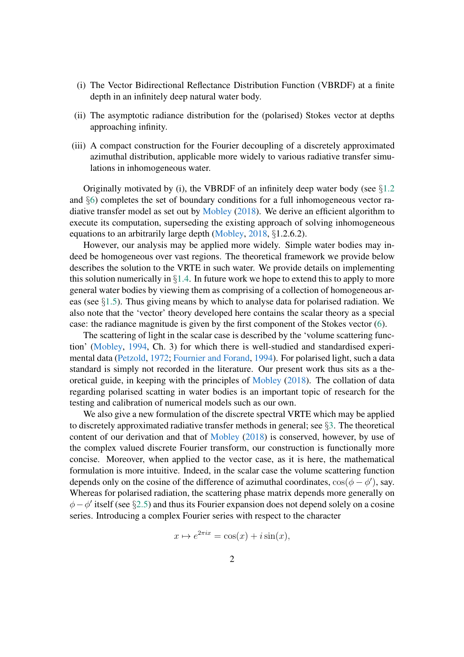- (i) The Vector Bidirectional Reflectance Distribution Function (VBRDF) at a finite depth in an infinitely deep natural water body.
- (ii) The asymptotic radiance distribution for the (polarised) Stokes vector at depths approaching infinity.
- (iii) A compact construction for the Fourier decoupling of a discretely approximated azimuthal distribution, applicable more widely to various radiative transfer simulations in inhomogeneous water.

Originally motivated by (i), the VBRDF of an infinitely deep water body (see  $\S1.2$  $\S1.2$ and §[6\)](#page-21-0) completes the set of boundary conditions for a full inhomogeneous vector radiative transfer model as set out by [Mobley](#page-26-6) [\(2018](#page-26-6)). We derive an efficient algorithm to execute its computation, superseding the existing approach of solving inhomogeneous equations to an arbitrarily large depth [\(Mobley,](#page-26-6) [2018,](#page-26-6) §1.2.6.2).

However, our analysis may be applied more widely. Simple water bodies may indeed be homogeneous over vast regions. The theoretical framework we provide below describes the solution to the VRTE in such water. We provide details on implementing this solution numerically in  $\S1.4$ . In future work we hope to extend this to apply to more general water bodies by viewing them as comprising of a collection of homogeneous areas (see §[1.5\)](#page-5-0). Thus giving means by which to analyse data for polarised radiation. We also note that the 'vector' theory developed here contains the scalar theory as a special case: the radiance magnitude is given by the first component of the Stokes vector [\(6\)](#page-7-0).

The scattering of light in the scalar case is described by the 'volume scattering function' [\(Mobley](#page-25-2), [1994](#page-25-2), Ch. 3) for which there is well-studied and standardised experimental data [\(Petzold,](#page-26-7) [1972](#page-26-7); [Fournier and Forand](#page-26-8), [1994\)](#page-26-8). For polarised light, such a data standard is simply not recorded in the literature. Our present work thus sits as a theoretical guide, in keeping with the principles of [Mobley](#page-26-6) [\(2018](#page-26-6)). The collation of data regarding polarised scatting in water bodies is an important topic of research for the testing and calibration of numerical models such as our own.

We also give a new formulation of the discrete spectral VRTE which may be applied to discretely approximated radiative transfer methods in general; see §[3.](#page-10-0) The theoretical content of our derivation and that of [Mobley](#page-26-6) [\(2018\)](#page-26-6) is conserved, however, by use of the complex valued discrete Fourier transform, our construction is functionally more concise. Moreover, when applied to the vector case, as it is here, the mathematical formulation is more intuitive. Indeed, in the scalar case the volume scattering function depends only on the cosine of the difference of azimuthal coordinates,  $cos(\phi - \phi')$ , say. Whereas for polarised radiation, the scattering phase matrix depends more generally on  $\phi - \phi'$  itself (see §[2.5\)](#page-9-0) and thus its Fourier expansion does not depend solely on a cosine series. Introducing a complex Fourier series with respect to the character

$$
x \mapsto e^{2\pi ix} = \cos(x) + i\sin(x),
$$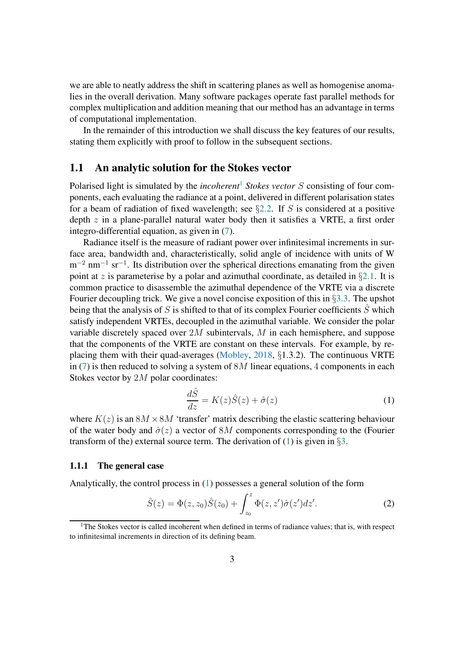we are able to neatly address the shift in scattering planes as well as homogenise anomalies in the overall derivation. Many software packages operate fast parallel methods for complex multiplication and addition meaning that our method has an advantage in terms of computational implementation.

In the remainder of this introduction we shall discuss the key features of our results, stating them explicitly with proof to follow in the subsequent sections.

## <span id="page-2-3"></span>1.1 An analytic solution for the Stokes vector

Polarised light is simulated by the *incoherent*<sup>[1](#page-2-0)</sup> *Stokes vector* S consisting of four components, each evaluating the radiance at a point, delivered in different polarisation states for a beam of radiation of fixed wavelength; see  $\S 2.2$ . If S is considered at a positive depth  $z$  in a plane-parallel natural water body then it satisfies a VRTE, a first order integro-differential equation, as given in [\(7\)](#page-7-1).

Radiance itself is the measure of radiant power over infinitesimal increments in surface area, bandwidth and, characteristically, solid angle of incidence with units of W  $m^{-2}$  nm<sup>-1</sup> sr<sup>-1</sup>. Its distribution over the spherical directions emanating from the given point at z is parameterise by a polar and azimuthal coordinate, as detailed in  $\S2.1$ . It is common practice to disassemble the azimuthal dependence of the VRTE via a discrete Fourier decoupling trick. We give a novel concise exposition of this in §[3.3.](#page-12-0) The upshot being that the analysis of S is shifted to that of its complex Fourier coefficients  $\tilde{S}$  which satisfy independent VRTEs, decoupled in the azimuthal variable. We consider the polar variable discretely spaced over 2M subintervals, M in each hemisphere, and suppose that the components of the VRTE are constant on these intervals. For example, by replacing them with their quad-averages [\(Mobley,](#page-26-6) [2018](#page-26-6), §1.3.2). The continuous VRTE in [\(7\)](#page-7-1) is then reduced to solving a system of 8M linear equations, 4 components in each Stokes vector by 2M polar coordinates:

<span id="page-2-1"></span>
$$
\frac{d\hat{S}}{dz} = K(z)\hat{S}(z) + \hat{\sigma}(z)
$$
 (1)

where  $K(z)$  is an  $8M \times 8M$  'transfer' matrix describing the elastic scattering behaviour of the water body and  $\hat{\sigma}(z)$  a vector of 8M components corresponding to the (Fourier transform of the) external source term. The derivation of  $(1)$  is given in  $\S$ [3.](#page-10-0)

### 1.1.1 The general case

Analytically, the control process in [\(1\)](#page-2-1) possesses a general solution of the form

<span id="page-2-2"></span>
$$
\hat{S}(z) = \Phi(z, z_0)\hat{S}(z_0) + \int_{z_0}^{z} \Phi(z, z')\hat{\sigma}(z')dz'.
$$
 (2)

<span id="page-2-0"></span> $1$ <sup>1</sup>The Stokes vector is called incoherent when defined in terms of radiance values; that is, with respect to infinitesimal increments in direction of its defining beam.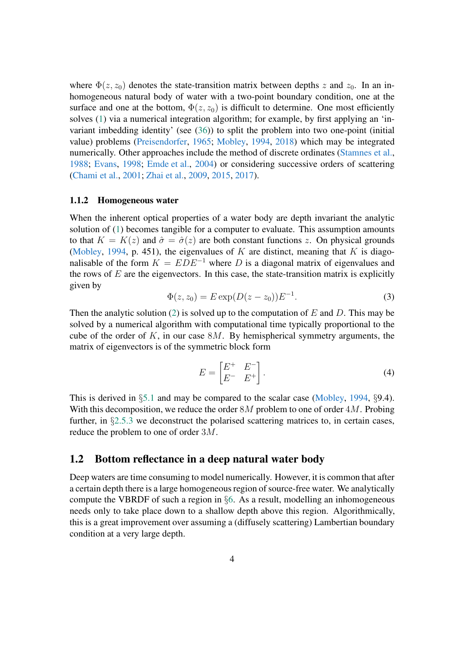where  $\Phi(z, z_0)$  denotes the state-transition matrix between depths z and  $z_0$ . In an inhomogeneous natural body of water with a two-point boundary condition, one at the surface and one at the bottom,  $\Phi(z, z_0)$  is difficult to determine. One most efficiently solves [\(1\)](#page-2-1) via a numerical integration algorithm; for example, by first applying an 'invariant imbedding identity' (see [\(36\)](#page-23-0)) to split the problem into two one-point (initial value) problems [\(Preisendorfer,](#page-25-1) [1965;](#page-25-1) [Mobley](#page-25-2), [1994](#page-25-2), [2018](#page-26-6)) which may be integrated numerically. Other approaches include the method of discrete ordinates [\(Stamnes et al.](#page-27-0), [1988](#page-27-0); [Evans,](#page-27-1) [1998;](#page-27-1) [Emde et al.,](#page-26-4) [2004\)](#page-26-4) or considering successive orders of scattering [\(Chami et al.](#page-26-1), [2001](#page-26-1); [Zhai et al.,](#page-26-5) [2009,](#page-26-5) [2015,](#page-27-2) [2017](#page-27-3)).

#### 1.1.2 Homogeneous water

When the inherent optical properties of a water body are depth invariant the analytic solution of [\(1\)](#page-2-1) becomes tangible for a computer to evaluate. This assumption amounts to that  $K = K(z)$  and  $\hat{\sigma} = \hat{\sigma}(z)$  are both constant functions z. On physical grounds [\(Mobley](#page-25-2), [1994,](#page-25-2) p. 451), the eigenvalues of K are distinct, meaning that K is diagonalisable of the form  $K = EDE^{-1}$  where D is a diagonal matrix of eigenvalues and the rows of  $E$  are the eigenvectors. In this case, the state-transition matrix is explicitly given by

<span id="page-3-2"></span>
$$
\Phi(z, z_0) = E \exp(D(z - z_0)) E^{-1}.
$$
\n(3)

Then the analytic solution [\(2\)](#page-2-2) is solved up to the computation of  $E$  and  $D$ . This may be solved by a numerical algorithm with computational time typically proportional to the cube of the order of K, in our case  $8M$ . By hemispherical symmetry arguments, the matrix of eigenvectors is of the symmetric block form

<span id="page-3-1"></span>
$$
E = \begin{bmatrix} E^+ & E^- \\ E^- & E^+ \end{bmatrix} . \tag{4}
$$

This is derived in  $\S 5.1$  $\S 5.1$  and may be compared to the scalar case [\(Mobley](#page-25-2), [1994,](#page-25-2)  $\S 9.4$ ). With this decomposition, we reduce the order  $8M$  problem to one of order  $4M$ . Probing further, in §[2.5.3](#page-10-1) we deconstruct the polarised scattering matrices to, in certain cases, reduce the problem to one of order 3M.

### <span id="page-3-0"></span>1.2 Bottom reflectance in a deep natural water body

Deep waters are time consuming to model numerically. However, it is common that after a certain depth there is a large homogeneous region of source-free water. We analytically compute the VBRDF of such a region in §[6.](#page-21-0) As a result, modelling an inhomogeneous needs only to take place down to a shallow depth above this region. Algorithmically, this is a great improvement over assuming a (diffusely scattering) Lambertian boundary condition at a very large depth.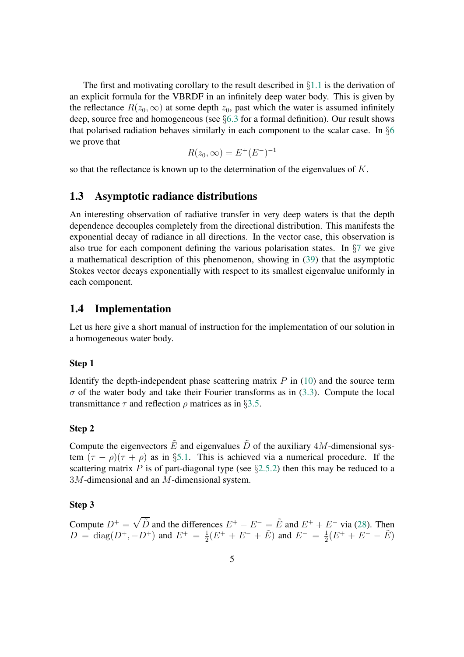The first and motivating corollary to the result described in  $\S1.1$  $\S1.1$  is the derivation of an explicit formula for the VBRDF in an infinitely deep water body. This is given by the reflectance  $R(z_0, \infty)$  at some depth  $z_0$ , past which the water is assumed infinitely deep, source free and homogeneous (see §[6.3](#page-22-0) for a formal definition). Our result shows that polarised radiation behaves similarly in each component to the scalar case. In §[6](#page-21-0) we prove that

$$
R(z_0, \infty) = E^+(E^-)^{-1}
$$

so that the reflectance is known up to the determination of the eigenvalues of  $K$ .

## 1.3 Asymptotic radiance distributions

An interesting observation of radiative transfer in very deep waters is that the depth dependence decouples completely from the directional distribution. This manifests the exponential decay of radiance in all directions. In the vector case, this observation is also true for each component defining the various polarisation states. In  $\S7$  $\S7$  we give a mathematical description of this phenomenon, showing in [\(39\)](#page-25-3) that the asymptotic Stokes vector decays exponentially with respect to its smallest eigenvalue uniformly in each component.

## <span id="page-4-0"></span>1.4 Implementation

Let us here give a short manual of instruction for the implementation of our solution in a homogeneous water body.

#### Step 1

Identify the depth-independent phase scattering matrix  $P$  in [\(10\)](#page-9-1) and the source term  $\sigma$  of the water body and take their Fourier transforms as in [\(3.3\)](#page-12-0). Compute the local transmittance  $\tau$  and reflection  $\rho$  matrices as in §[3.5.](#page-13-0)

#### Step 2

Compute the eigenvectors  $\tilde{E}$  and eigenvalues  $\tilde{D}$  of the auxiliary 4M-dimensional system  $(\tau - \rho)(\tau + \rho)$  as in §[5.1.](#page-17-0) This is achieved via a numerical procedure. If the scattering matrix P is of part-diagonal type (see  $\S2.5.2$ ) then this may be reduced to a 3M-dimensional and an M-dimensional system.

## Step 3

Compute  $D^+ = \sqrt{\tilde{D}}$  and the differences  $E^+ - E^- = \tilde{E}$  and  $E^+ + E^-$  via [\(28\)](#page-18-0). Then  $D = diag(D^{+}, -D^{+})$  and  $E^{+} = \frac{1}{2}$  $\frac{1}{2}(E^+ + E^- + \tilde{E})$  and  $E^- = \frac{1}{2}$  $\frac{1}{2}(E^+ + E^- - \tilde{E})$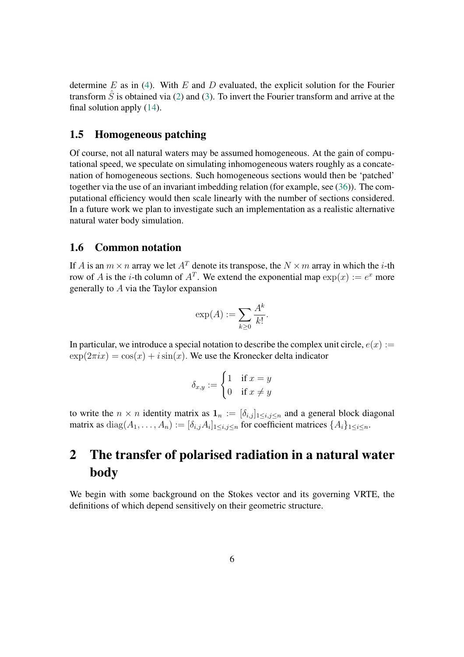determine  $E$  as in [\(4\)](#page-3-1). With  $E$  and  $D$  evaluated, the explicit solution for the Fourier transform  $\hat{S}$  is obtained via [\(2\)](#page-2-2) and [\(3\)](#page-3-2). To invert the Fourier transform and arrive at the final solution apply [\(14\)](#page-11-0).

## <span id="page-5-0"></span>1.5 Homogeneous patching

Of course, not all natural waters may be assumed homogeneous. At the gain of computational speed, we speculate on simulating inhomogeneous waters roughly as a concatenation of homogeneous sections. Such homogeneous sections would then be 'patched' together via the use of an invariant imbedding relation (for example, see [\(36\)](#page-23-0)). The computational efficiency would then scale linearly with the number of sections considered. In a future work we plan to investigate such an implementation as a realistic alternative natural water body simulation.

### 1.6 Common notation

If A is an  $m \times n$  array we let  $A<sup>T</sup>$  denote its transpose, the  $N \times m$  array in which the *i*-th row of A is the *i*-th column of  $A<sup>T</sup>$ . We extend the exponential map  $\exp(x) := e^x$  more generally to A via the Taylor expansion

$$
\exp(A) := \sum_{k \geq 0} \frac{A^k}{k!}.
$$

In particular, we introduce a special notation to describe the complex unit circle,  $e(x) :=$  $\exp(2\pi ix) = \cos(x) + i\sin(x)$ . We use the Kronecker delta indicator

$$
\delta_{x,y}:=\begin{cases}1 & \text{if } x=y\\0 & \text{if } x\neq y\end{cases}
$$

to write the  $n \times n$  identity matrix as  $\mathbf{1}_n := [\delta_{i,j}]_{1 \le i,j \le n}$  and a general block diagonal matrix as  $\text{diag}(A_1,\ldots,A_n):=[\delta_{i,j}A_i]_{1\leq i,j\leq n}$  for coefficient matrices  $\{A_i\}_{1\leq i\leq n}$ .

## 2 The transfer of polarised radiation in a natural water body

We begin with some background on the Stokes vector and its governing VRTE, the definitions of which depend sensitively on their geometric structure.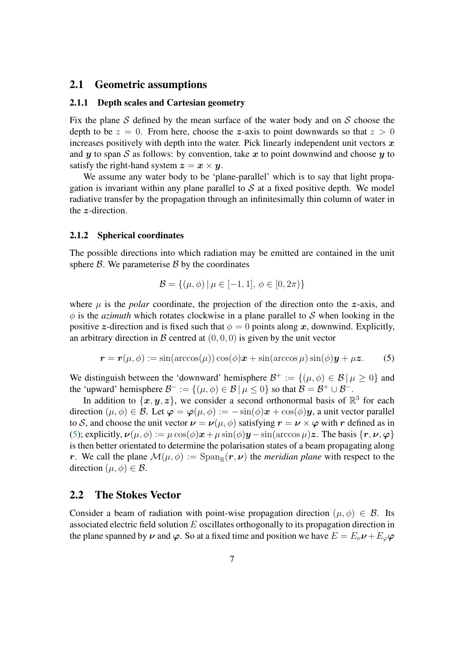#### <span id="page-6-1"></span>2.1 Geometric assumptions

#### 2.1.1 Depth scales and Cartesian geometry

Fix the plane S defined by the mean surface of the water body and on  $S$  choose the depth to be  $z = 0$ . From here, choose the z-axis to point downwards so that  $z > 0$ increases positively with depth into the water. Pick linearly independent unit vectors  $x$ and y to span S as follows: by convention, take x to point downwind and choose y to satisfy the right-hand system  $z = x \times y$ .

We assume any water body to be 'plane-parallel' which is to say that light propagation is invariant within any plane parallel to  $S$  at a fixed positive depth. We model radiative transfer by the propagation through an infinitesimally thin column of water in the z-direction.

#### <span id="page-6-3"></span>2.1.2 Spherical coordinates

The possible directions into which radiation may be emitted are contained in the unit sphere  $\beta$ . We parameterise  $\beta$  by the coordinates

$$
\mathcal{B} = \{ (\mu, \phi) \mid \mu \in [-1, 1], \phi \in [0, 2\pi) \}
$$

where  $\mu$  is the *polar* coordinate, the projection of the direction onto the  $z$ -axis, and  $\phi$  is the *azimuth* which rotates clockwise in a plane parallel to S when looking in the positive z-direction and is fixed such that  $\phi = 0$  points along x, downwind. Explicitly, an arbitrary direction in B centred at  $(0, 0, 0)$  is given by the unit vector

<span id="page-6-2"></span>
$$
\boldsymbol{r} = \boldsymbol{r}(\mu, \phi) := \sin(\arccos(\mu))\cos(\phi)\boldsymbol{x} + \sin(\arccos\mu)\sin(\phi)\boldsymbol{y} + \mu \boldsymbol{z}.
$$
 (5)

We distinguish between the 'downward' hemisphere  $\mathcal{B}^+ := \{(\mu, \phi) \in \mathcal{B} | \mu \geq 0\}$  and the 'upward' hemisphere  $\mathcal{B}^- := \{(\mu, \phi) \in \mathcal{B} \mid \mu \leq 0\}$  so that  $\mathcal{B} = \mathcal{B}^+ \cup \mathcal{B}^-$ .

In addition to  $\{x, y, z\}$ , we consider a second orthonormal basis of  $\mathbb{R}^3$  for each direction  $(\mu, \phi) \in \mathcal{B}$ . Let  $\varphi = \varphi(\mu, \phi) := -\sin(\phi)x + \cos(\phi)y$ , a unit vector parallel to S, and choose the unit vector  $v = v(\mu, \phi)$  satisfying  $r = v \times \varphi$  with r defined as in [\(5\)](#page-6-2); explicitly,  $v(\mu, \phi) := \mu \cos(\phi) x + \mu \sin(\phi) y - \sin(\arccos \mu) z$ . The basis  $\{r, \nu, \varphi\}$ is then better orientated to determine the polarisation states of a beam propagating along *r*. We call the plane  $\mathcal{M}(\mu, \phi) := \text{Span}_{\mathbb{R}}(r, \nu)$  the *meridian plane* with respect to the direction  $(\mu, \phi) \in \mathcal{B}$ .

## <span id="page-6-0"></span>2.2 The Stokes Vector

Consider a beam of radiation with point-wise propagation direction  $(\mu, \phi) \in \mathcal{B}$ . Its associated electric field solution E oscillates orthogonally to its propagation direction in the plane spanned by  $\nu$  and  $\varphi$ . So at a fixed time and position we have  $E = E_{\nu} \nu + E_{\varphi} \varphi$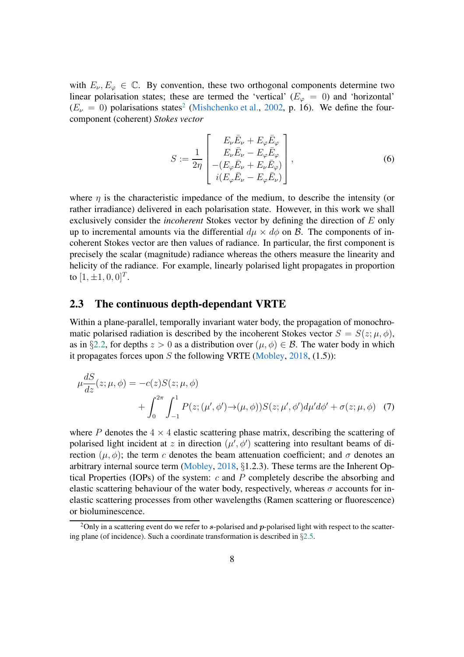with  $E_{\nu}, E_{\varphi} \in \mathbb{C}$ . By convention, these two orthogonal components determine two linear polarisation states; these are termed the 'vertical' ( $E_{\varphi} = 0$ ) and 'horizontal'  $(E_{\nu} = 0)$  polarisations states<sup>[2](#page-7-2)</sup> [\(Mishchenko et al.,](#page-26-3) [2002,](#page-26-3) p. 16). We define the fourcomponent (coherent) *Stokes vector*

<span id="page-7-0"></span>
$$
S := \frac{1}{2\eta} \begin{bmatrix} E_{\nu}\bar{E}_{\nu} + E_{\varphi}\bar{E}_{\varphi} \\ E_{\nu}\bar{E}_{\nu} - E_{\varphi}\bar{E}_{\varphi} \\ -(E_{\varphi}\bar{E}_{\nu} + E_{\nu}\bar{E}_{\varphi}) \\ i(E_{\varphi}\bar{E}_{\nu} - E_{\varphi}\bar{E}_{\nu}) \end{bmatrix},
$$
(6)

where  $\eta$  is the characteristic impedance of the medium, to describe the intensity (or rather irradiance) delivered in each polarisation state. However, in this work we shall exclusively consider the *incoherent* Stokes vector by defining the direction of E only up to incremental amounts via the differential  $d\mu \times d\phi$  on  $\beta$ . The components of incoherent Stokes vector are then values of radiance. In particular, the first component is precisely the scalar (magnitude) radiance whereas the others measure the linearity and helicity of the radiance. For example, linearly polarised light propagates in proportion to  $[1, \pm 1, 0, 0]^T$ .

## 2.3 The continuous depth-dependant VRTE

Within a plane-parallel, temporally invariant water body, the propagation of monochromatic polarised radiation is described by the incoherent Stokes vector  $S = S(z; \mu, \phi)$ , as in §[2.2,](#page-6-0) for depths  $z > 0$  as a distribution over  $(\mu, \phi) \in \mathcal{B}$ . The water body in which it propagates forces upon S the following VRTE [\(Mobley,](#page-26-6) [2018,](#page-26-6)  $(1.5)$ ):

<span id="page-7-1"></span>
$$
\mu \frac{dS}{dz}(z; \mu, \phi) = -c(z)S(z; \mu, \phi) + \int_0^{2\pi} \int_{-1}^1 P(z; (\mu', \phi') \to (\mu, \phi)) S(z; \mu', \phi') d\mu' d\phi' + \sigma(z; \mu, \phi) \tag{7}
$$

where P denotes the  $4 \times 4$  elastic scattering phase matrix, describing the scattering of polarised light incident at z in direction  $(\mu', \phi')$  scattering into resultant beams of direction  $(\mu, \phi)$ ; the term c denotes the beam attenuation coefficient; and  $\sigma$  denotes an arbitrary internal source term [\(Mobley,](#page-26-6) [2018,](#page-26-6) §1.2.3). These terms are the Inherent Optical Properties (IOPs) of the system:  $c$  and  $P$  completely describe the absorbing and elastic scattering behaviour of the water body, respectively, whereas  $\sigma$  accounts for inelastic scattering processes from other wavelengths (Ramen scattering or fluorescence) or bioluminescence.

<span id="page-7-2"></span><sup>&</sup>lt;sup>2</sup>Only in a scattering event do we refer to  $s$ -polarised and  $p$ -polarised light with respect to the scattering plane (of incidence). Such a coordinate transformation is described in §[2.5.](#page-9-0)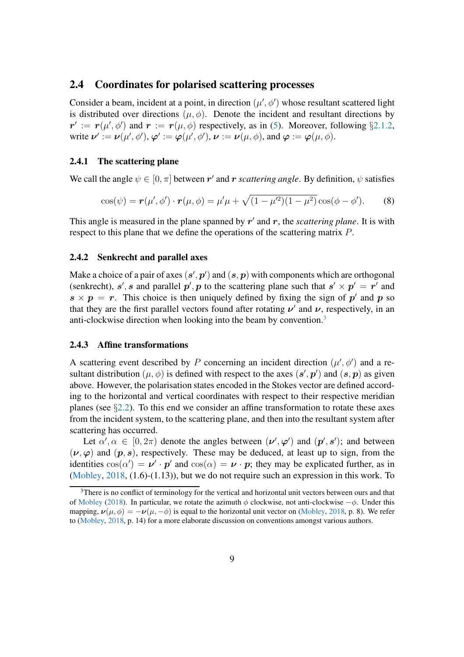## 2.4 Coordinates for polarised scattering processes

Consider a beam, incident at a point, in direction  $(\mu', \phi')$  whose resultant scattered light is distributed over directions  $(\mu, \phi)$ . Denote the incident and resultant directions by  $r' := r(\mu', \phi')$  and  $r := r(\mu, \phi)$  respectively, as in [\(5\)](#page-6-2). Moreover, following §[2.1.2,](#page-6-3) write  $\nu' := \nu(\mu', \phi'), \varphi' := \varphi(\mu', \phi'), \nu := \nu(\mu, \phi)$ , and  $\varphi := \varphi(\mu, \phi)$ .

#### 2.4.1 The scattering plane

We call the angle  $\psi \in [0, \pi]$  between  $\mathbf{r}'$  and  $\mathbf{r}$  *scattering angle*. By definition,  $\psi$  satisfies

<span id="page-8-1"></span>
$$
\cos(\psi) = \mathbf{r}(\mu', \phi') \cdot \mathbf{r}(\mu, \phi) = \mu' \mu + \sqrt{(1 - \mu'^2)(1 - \mu^2)} \cos(\phi - \phi'). \tag{8}
$$

This angle is measured in the plane spanned by  $r'$  and  $r$ , the *scattering plane*. It is with respect to this plane that we define the operations of the scattering matrix P.

#### 2.4.2 Senkrecht and parallel axes

Make a choice of a pair of axes  $(\bm{s}',\bm{p}')$  and  $(\bm{s},\bm{p})$  with components which are orthogonal (senkrecht), s', s and parallel  $p'$ , p to the scattering plane such that  $s' \times p' = r'$  and  $s \times p = r$ . This choice is then uniquely defined by fixing the sign of p' and p so that they are the first parallel vectors found after rotating  $\nu'$  and  $\nu$ , respectively, in an anti-clockwise direction when looking into the beam by convention.[3](#page-8-0)

#### 2.4.3 Affine transformations

A scattering event described by P concerning an incident direction  $(\mu', \phi')$  and a resultant distribution  $(\mu, \phi)$  is defined with respect to the axes  $(\mathbf{s}', \mathbf{p}')$  and  $(\mathbf{s}, \mathbf{p})$  as given above. However, the polarisation states encoded in the Stokes vector are defined according to the horizontal and vertical coordinates with respect to their respective meridian planes (see  $\S 2.2$ ). To this end we consider an affine transformation to rotate these axes from the incident system, to the scattering plane, and then into the resultant system after scattering has occurred.

Let  $\alpha', \alpha \in [0, 2\pi)$  denote the angles between  $(\nu', \varphi')$  and  $(\mathbf{p}', \mathbf{s}')$ ; and between  $(\nu, \varphi)$  and  $(p, s)$ , respectively. These may be deduced, at least up to sign, from the identities  $cos(\alpha') = \nu' \cdot p'$  and  $cos(\alpha) = \nu \cdot p$ ; they may be explicated further, as in [\(Mobley](#page-26-6), [2018](#page-26-6), (1.6)-(1.13)), but we do not require such an expression in this work. To

<span id="page-8-0"></span><sup>&</sup>lt;sup>3</sup>There is no conflict of terminology for the vertical and horizontal unit vectors between ours and that of [Mobley](#page-26-6) [\(2018\)](#page-26-6). In particular, we rotate the azimuth  $\phi$  clockwise, not anti-clockwise  $-\phi$ . Under this mapping,  $\nu(\mu, \phi) = -\nu(\mu, -\phi)$  is equal to the horizontal unit vector on [\(Mobley,](#page-26-6) [2018,](#page-26-6) p. 8). We refer to [\(Mobley,](#page-26-6) [2018,](#page-26-6) p. 14) for a more elaborate discussion on conventions amongst various authors.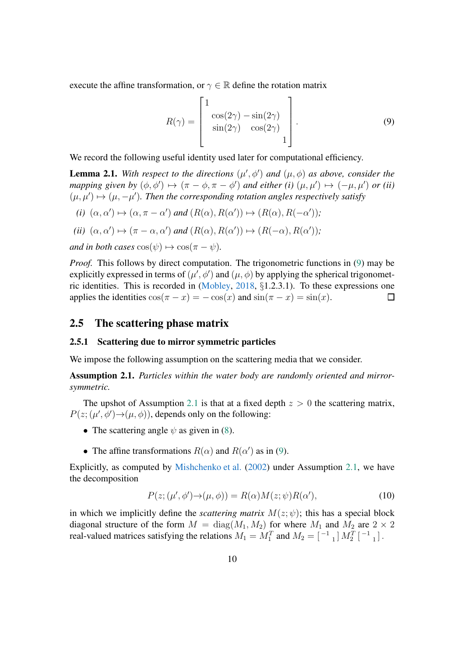execute the affine transformation, or  $\gamma \in \mathbb{R}$  define the rotation matrix

<span id="page-9-2"></span>
$$
R(\gamma) = \begin{bmatrix} 1 & \cos(2\gamma) - \sin(2\gamma) \\ \sin(2\gamma) & \cos(2\gamma) \\ 1 & 1 \end{bmatrix} . \tag{9}
$$

We record the following useful identity used later for computational efficiency.

<span id="page-9-4"></span>**Lemma 2.1.** With respect to the directions  $(\mu', \phi')$  and  $(\mu, \phi)$  as above, consider the *mapping given by*  $(\phi, \phi') \mapsto (\pi - \phi, \pi - \phi')$  *and either (i)*  $(\mu, \mu') \mapsto (-\mu, \mu')$  *or (ii)*  $(\mu, \mu') \mapsto (\mu, -\mu')$ . Then the corresponding rotation angles respectively satisfy

(*i*)  $(\alpha, \alpha') \mapsto (\alpha, \pi - \alpha')$  *and*  $(R(\alpha), R(\alpha')) \mapsto (R(\alpha), R(-\alpha'))$ ;

(ii) 
$$
(\alpha, \alpha') \mapsto (\pi - \alpha, \alpha')
$$
 and  $(R(\alpha), R(\alpha')) \mapsto (R(-\alpha), R(\alpha'));$ 

*and in both cases*  $\cos(\psi) \mapsto \cos(\pi - \psi)$ *.* 

*Proof.* This follows by direct computation. The trigonometric functions in [\(9\)](#page-9-2) may be explicitly expressed in terms of  $(\mu', \phi')$  and  $(\mu, \phi)$  by applying the spherical trigonometric identities. This is recorded in [\(Mobley,](#page-26-6) [2018](#page-26-6), §1.2.3.1). To these expressions one applies the identities  $\cos(\pi - x) = -\cos(x)$  and  $\sin(\pi - x) = \sin(x)$ .  $\Box$ 

## <span id="page-9-0"></span>2.5 The scattering phase matrix

### 2.5.1 Scattering due to mirror symmetric particles

We impose the following assumption on the scattering media that we consider.

<span id="page-9-3"></span>Assumption 2.1. *Particles within the water body are randomly oriented and mirrorsymmetric.*

The upshot of Assumption [2.1](#page-9-3) is that at a fixed depth  $z > 0$  the scattering matrix,  $P(z; (\mu', \phi') \rightarrow (\mu, \phi))$ , depends only on the following:

- The scattering angle  $\psi$  as given in [\(8\)](#page-8-1).
- The affine transformations  $R(\alpha)$  and  $R(\alpha')$  as in [\(9\)](#page-9-2).

Explicitly, as computed by [Mishchenko et al.](#page-26-3) [\(2002\)](#page-26-3) under Assumption [2.1,](#page-9-3) we have the decomposition

<span id="page-9-1"></span>
$$
P(z; (\mu', \phi') \to (\mu, \phi)) = R(\alpha)M(z; \psi)R(\alpha'), \tag{10}
$$

in which we implicitly define the *scattering matrix*  $M(z; \psi)$ ; this has a special block diagonal structure of the form  $M = \text{diag}(M_1, M_2)$  for where  $M_1$  and  $M_2$  are  $2 \times 2$ real-valued matrices satisfying the relations  $M_1 = M_1^T$  and  $M_2 = \begin{bmatrix} -1 \\ 1 \end{bmatrix} M_2^T \begin{bmatrix} -1 \\ 1 \end{bmatrix}$ .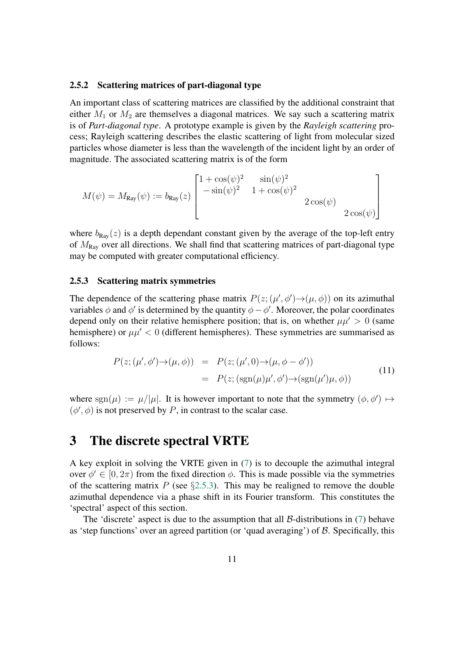#### <span id="page-10-2"></span>2.5.2 Scattering matrices of part-diagonal type

An important class of scattering matrices are classified by the additional constraint that either  $M_1$  or  $M_2$  are themselves a diagonal matrices. We say such a scattering matrix is of *Part-diagonal type*. A prototype example is given by the *Rayleigh scattering* process; Rayleigh scattering describes the elastic scattering of light from molecular sized particles whose diameter is less than the wavelength of the incident light by an order of magnitude. The associated scattering matrix is of the form

$$
M(\psi) = M_{\text{Ray}}(\psi) := b_{\text{Ray}}(z) \begin{bmatrix} 1 + \cos(\psi)^2 & \sin(\psi)^2 \\ -\sin(\psi)^2 & 1 + \cos(\psi)^2 \\ 2\cos(\psi) & 2\cos(\psi) \end{bmatrix}
$$

where  $b_{\text{Ray}}(z)$  is a depth dependant constant given by the average of the top-left entry of  $M_{\text{Ray}}$  over all directions. We shall find that scattering matrices of part-diagonal type may be computed with greater computational efficiency.

#### <span id="page-10-1"></span>2.5.3 Scattering matrix symmetries

The dependence of the scattering phase matrix  $P(z; (\mu', \phi') \rightarrow (\mu, \phi))$  on its azimuthal variables  $\phi$  and  $\phi'$  is determined by the quantity  $\phi - \phi'$ . Moreover, the polar coordinates depend only on their relative hemisphere position; that is, on whether  $\mu\mu' > 0$  (same hemisphere) or  $\mu\mu' < 0$  (different hemispheres). These symmetries are summarised as follows:

<span id="page-10-3"></span>
$$
P(z; (\mu', \phi') \to (\mu, \phi)) = P(z; (\mu', 0) \to (\mu, \phi - \phi'))
$$
  
= 
$$
P(z; (\text{sgn}(\mu)\mu', \phi') \to (\text{sgn}(\mu')\mu, \phi))
$$
 (11)

where sgn( $\mu$ ) :=  $\mu/|\mu|$ . It is however important to note that the symmetry  $(\phi, \phi') \mapsto$  $(\phi', \phi)$  is not preserved by P, in contrast to the scalar case.

## <span id="page-10-0"></span>3 The discrete spectral VRTE

A key exploit in solving the VRTE given in [\(7\)](#page-7-1) is to decouple the azimuthal integral over  $\phi' \in [0, 2\pi)$  from the fixed direction  $\phi$ . This is made possible via the symmetries of the scattering matrix P (see  $\S2.5.3$ ). This may be realigned to remove the double azimuthal dependence via a phase shift in its Fourier transform. This constitutes the 'spectral' aspect of this section.

The 'discrete' aspect is due to the assumption that all  $\beta$ -distributions in [\(7\)](#page-7-1) behave as 'step functions' over an agreed partition (or 'quad averaging') of B. Specifically, this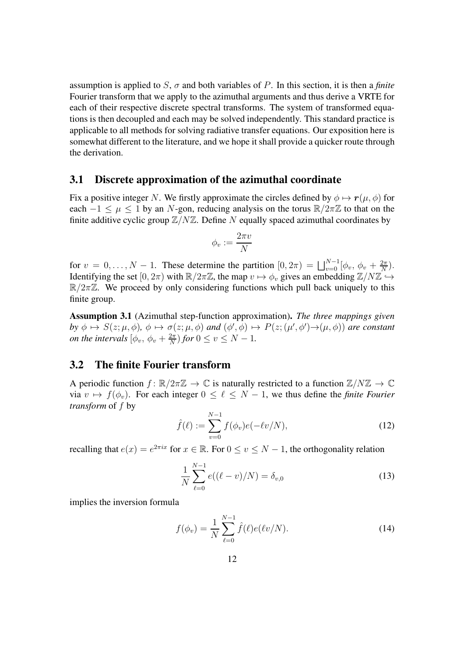assumption is applied to  $S$ ,  $\sigma$  and both variables of P. In this section, it is then a *finite* Fourier transform that we apply to the azimuthal arguments and thus derive a VRTE for each of their respective discrete spectral transforms. The system of transformed equations is then decoupled and each may be solved independently. This standard practice is applicable to all methods for solving radiative transfer equations. Our exposition here is somewhat different to the literature, and we hope it shall provide a quicker route through the derivation.

## 3.1 Discrete approximation of the azimuthal coordinate

Fix a positive integer N. We firstly approximate the circles defined by  $\phi \mapsto r(\mu, \phi)$  for each  $-1 \leq \mu \leq 1$  by an N-gon, reducing analysis on the torus  $\mathbb{R}/2\pi\mathbb{Z}$  to that on the finite additive cyclic group  $\mathbb{Z}/N\mathbb{Z}$ . Define N equally spaced azimuthal coordinates by

$$
\phi_v:=\frac{2\pi v}{N}
$$

for  $v = 0, \ldots, N - 1$ . These determine the partition  $[0, 2\pi) = \bigsqcup_{v=0}^{N-1} [\phi_v, \phi_v + \frac{2\pi}{N}]$  $\frac{2\pi}{N}$ ). Identifying the set  $[0, 2\pi)$  with  $\mathbb{R}/2\pi\mathbb{Z}$ , the map  $v \mapsto \phi_v$  gives an embedding  $\mathbb{Z}/N\mathbb{Z} \hookrightarrow$  $\mathbb{R}/2\pi\mathbb{Z}$ . We proceed by only considering functions which pull back uniquely to this finite group.

<span id="page-11-2"></span>Assumption 3.1 (Azimuthal step-function approximation). *The three mappings given by*  $\phi \mapsto S(z; \mu, \phi)$ ,  $\phi \mapsto \sigma(z; \mu, \phi)$  and  $(\phi', \phi) \mapsto P(z; (\mu', \phi') \rightarrow (\mu, \phi))$  are constant *on the intervals*  $[\phi_v, \phi_v + \frac{2\pi}{N}]$  $\frac{2\pi}{N}$ *for*  $0 \le v \le N - 1$ *.* 

## 3.2 The finite Fourier transform

A periodic function  $f: \mathbb{R}/2\pi\mathbb{Z} \to \mathbb{C}$  is naturally restricted to a function  $\mathbb{Z}/N\mathbb{Z} \to \mathbb{C}$ via  $v \mapsto f(\phi_v)$ . For each integer  $0 \leq \ell \leq N - 1$ , we thus define the *finite Fourier transform* of  $f$  by

<span id="page-11-1"></span>
$$
\hat{f}(\ell) := \sum_{v=0}^{N-1} f(\phi_v) e(-\ell v/N), \tag{12}
$$

recalling that  $e(x) = e^{2\pi ix}$  for  $x \in \mathbb{R}$ . For  $0 \le v \le N - 1$ , the orthogonality relation

<span id="page-11-3"></span>
$$
\frac{1}{N} \sum_{\ell=0}^{N-1} e((\ell-v)/N) = \delta_{v,0}
$$
\n(13)

implies the inversion formula

<span id="page-11-0"></span>
$$
f(\phi_v) = \frac{1}{N} \sum_{\ell=0}^{N-1} \hat{f}(\ell) e(\ell v/N).
$$
 (14)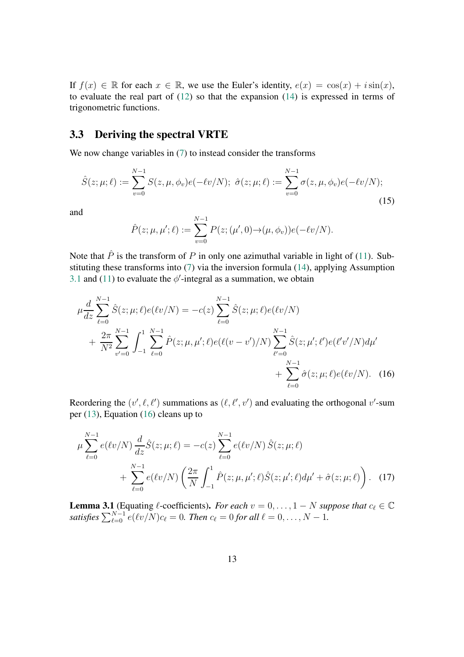If  $f(x) \in \mathbb{R}$  for each  $x \in \mathbb{R}$ , we use the Euler's identity,  $e(x) = \cos(x) + i \sin(x)$ , to evaluate the real part of [\(12\)](#page-11-1) so that the expansion [\(14\)](#page-11-0) is expressed in terms of trigonometric functions.

## <span id="page-12-0"></span>3.3 Deriving the spectral VRTE

We now change variables in  $(7)$  to instead consider the transforms

<span id="page-12-4"></span>
$$
\hat{S}(z;\mu;\ell) := \sum_{v=0}^{N-1} S(z,\mu,\phi_v) e(-\ell v/N); \ \hat{\sigma}(z;\mu;\ell) := \sum_{v=0}^{N-1} \sigma(z,\mu,\phi_v) e(-\ell v/N); \tag{15}
$$

and

<span id="page-12-1"></span>
$$
\hat{P}(z; \mu, \mu'; \ell) := \sum_{v=0}^{N-1} P(z; (\mu', 0) \to (\mu, \phi_v)) e(-\ell v/N).
$$

Note that  $\hat{P}$  is the transform of P in only one azimuthal variable in light of [\(11\)](#page-10-3). Substituting these transforms into [\(7\)](#page-7-1) via the inversion formula [\(14\)](#page-11-0), applying Assumption [3.1](#page-11-2) and [\(11\)](#page-10-3) to evaluate the  $\phi'$ -integral as a summation, we obtain

$$
\mu \frac{d}{dz} \sum_{\ell=0}^{N-1} \hat{S}(z; \mu; \ell) e(\ell v/N) = -c(z) \sum_{\ell=0}^{N-1} \hat{S}(z; \mu; \ell) e(\ell v/N) \n+ \frac{2\pi}{N^2} \sum_{v'=0}^{N-1} \int_{-1}^{1} \sum_{\ell=0}^{N-1} \hat{P}(z; \mu, \mu'; \ell) e(\ell(v-v')/N) \sum_{\ell'=0}^{N-1} \hat{S}(z; \mu'; \ell') e(\ell'v'/N) d\mu' \n+ \sum_{\ell=0}^{N-1} \hat{\sigma}(z; \mu; \ell) e(\ell v/N). \quad (16)
$$

Reordering the  $(v', \ell, \ell')$  summations as  $(\ell, \ell', v')$  and evaluating the orthogonal v'-sum per [\(13\)](#page-11-3), Equation [\(16\)](#page-12-1) cleans up to

<span id="page-12-3"></span>
$$
\mu \sum_{\ell=0}^{N-1} e(\ell v/N) \frac{d}{dz} \hat{S}(z; \mu; \ell) = -c(z) \sum_{\ell=0}^{N-1} e(\ell v/N) \hat{S}(z; \mu; \ell) + \sum_{\ell=0}^{N-1} e(\ell v/N) \left(\frac{2\pi}{N} \int_{-1}^{1} \hat{P}(z; \mu, \mu'; \ell) \hat{S}(z; \mu'; \ell) d\mu' + \hat{\sigma}(z; \mu; \ell) \right).
$$
 (17)

<span id="page-12-2"></span>**Lemma 3.1** (Equating  $\ell$ -coefficients). *For each*  $v = 0, \ldots, 1 - N$  *suppose that*  $c_{\ell} \in \mathbb{C}$ *satisfies*  $\sum_{\ell=0}^{N-1} e(\ell v/N)c_{\ell} = 0$ . Then  $c_{\ell} = 0$  for all  $\ell = 0, \ldots, N-1$ .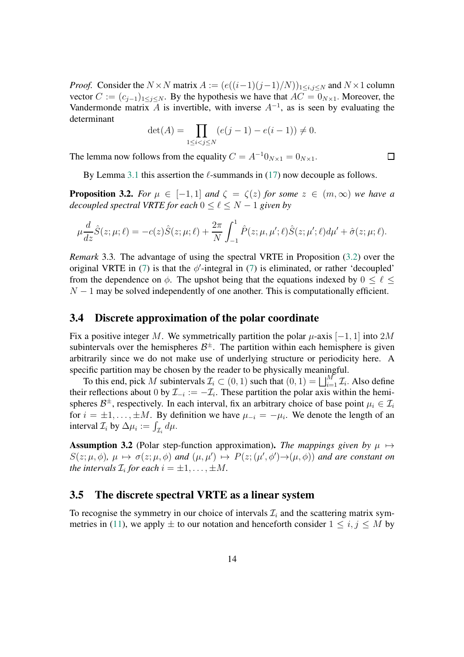*Proof.* Consider the  $N \times N$  matrix  $A := (e((i-1)(j-1)/N))_{1 \le i,j \le N}$  and  $N \times 1$  column vector  $C := (c_{j-1})_{1 \leq j \leq N}$ . By the hypothesis we have that  $AC = 0_{N \times 1}$ . Moreover, the Vandermonde matrix A is invertible, with inverse  $A^{-1}$ , as is seen by evaluating the determinant

$$
\det(A) = \prod_{1 \le i < j \le N} (e(j-1) - e(i-1)) \ne 0.
$$

 $\Box$ 

The lemma now follows from the equality  $C = A^{-1}0_{N \times 1} = 0_{N \times 1}$ .

By Lemma [3.1](#page-12-2) this assertion the  $\ell$ -summands in [\(17\)](#page-12-3) now decouple as follows.

<span id="page-13-1"></span>**Proposition 3.2.** *For*  $\mu \in [-1, 1]$  *and*  $\zeta = \zeta(z)$  *for some*  $z \in (m, \infty)$  *we have a decoupled spectral VRTE for each*  $0 \leq \ell \leq N - 1$  *given by* 

$$
\mu \frac{d}{dz} \hat{S}(z; \mu; \ell) = -c(z) \hat{S}(z; \mu; \ell) + \frac{2\pi}{N} \int_{-1}^{1} \hat{P}(z; \mu, \mu'; \ell) \hat{S}(z; \mu'; \ell) d\mu' + \hat{\sigma}(z; \mu; \ell).
$$

*Remark* 3.3*.* The advantage of using the spectral VRTE in Proposition [\(3.2\)](#page-13-1) over the original VRTE in [\(7\)](#page-7-1) is that the  $\phi'$ -integral in [\(7\)](#page-7-1) is eliminated, or rather 'decoupled' from the dependence on  $\phi$ . The upshot being that the equations indexed by  $0 \leq \ell \leq \ell$  $N-1$  may be solved independently of one another. This is computationally efficient.

### 3.4 Discrete approximation of the polar coordinate

Fix a positive integer M. We symmetrically partition the polar  $\mu$ -axis [-1, 1] into 2M subintervals over the hemispheres  $B^{\pm}$ . The partition within each hemisphere is given arbitrarily since we do not make use of underlying structure or periodicity here. A specific partition may be chosen by the reader to be physically meaningful.

To this end, pick M subintervals  $\mathcal{I}_i \subset (0,1)$  such that  $(0,1) = \bigsqcup_{i=1}^M \mathcal{I}_i$ . Also define their reflections about 0 by  $\mathcal{I}_{-i} := -\mathcal{I}_i$ . These partition the polar axis within the hemispheres  $\mathcal{B}^{\pm}$ , respectively. In each interval, fix an arbitrary choice of base point  $\mu_i \in \mathcal{I}_i$ for  $i = \pm 1, \ldots, \pm M$ . By definition we have  $\mu_{-i} = -\mu_i$ . We denote the length of an interval  $\mathcal{I}_i$  by  $\Delta \mu_i := \int_{\mathcal{I}_i} d\mu$ .

<span id="page-13-2"></span>**Assumption 3.2** (Polar step-function approximation). *The mappings given by*  $\mu \mapsto$  $S(z; \mu, \phi)$ ,  $\mu \mapsto \sigma(z; \mu, \phi)$  and  $(\mu, \mu') \mapsto P(z; (\mu', \phi') \rightarrow (\mu, \phi))$  and are constant on *the intervals*  $\mathcal{I}_i$  for each  $i = \pm 1, \ldots, \pm M$ .

#### <span id="page-13-0"></span>3.5 The discrete spectral VRTE as a linear system

To recognise the symmetry in our choice of intervals  $\mathcal{I}_i$  and the scattering matrix sym-metries in [\(11\)](#page-10-3), we apply  $\pm$  to our notation and henceforth consider  $1 \le i, j \le M$  by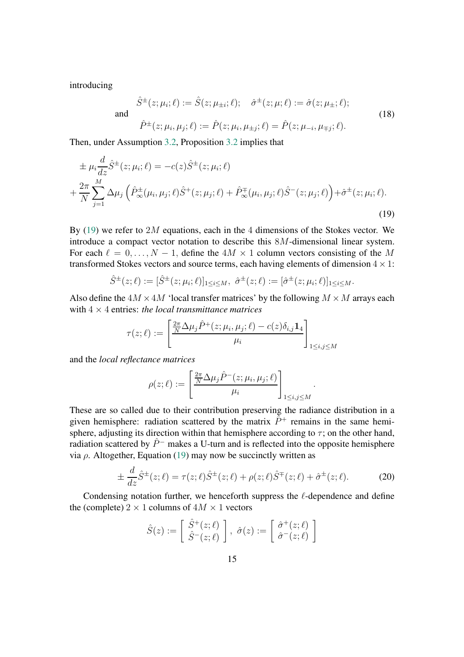introducing

<span id="page-14-1"></span>
$$
\hat{S}^{\pm}(z;\mu_i;\ell) := \hat{S}(z;\mu_{\pm i};\ell); \quad \hat{\sigma}^{\pm}(z;\mu;\ell) := \hat{\sigma}(z;\mu_{\pm};\ell);
$$
  
and  

$$
\hat{P}^{\pm}(z;\mu_i,\mu_j;\ell) := \hat{P}(z;\mu_i,\mu_{\pm j};\ell) = \hat{P}(z;\mu_{-i},\mu_{\mp j};\ell).
$$
 (18)

Then, under Assumption [3.2,](#page-13-2) Proposition [3.2](#page-13-1) implies that

$$
\pm \mu_i \frac{d}{dz} \hat{S}^{\pm}(z; \mu_i; \ell) = -c(z) \hat{S}^{\pm}(z; \mu_i; \ell) \n+ \frac{2\pi}{N} \sum_{j=1}^{M} \Delta \mu_j \left( \hat{P}_{\infty}^{\pm}(\mu_i, \mu_j; \ell) \hat{S}^+(z; \mu_j; \ell) + \hat{P}_{\infty}^{\mp}(\mu_i, \mu_j; \ell) \hat{S}^-(z; \mu_j; \ell) \right) + \hat{\sigma}^{\pm}(z; \mu_i; \ell).
$$
\n(19)

By  $(19)$  we refer to 2M equations, each in the 4 dimensions of the Stokes vector. We introduce a compact vector notation to describe this 8M-dimensional linear system. For each  $\ell = 0, \ldots, N - 1$ , define the  $4M \times 1$  column vectors consisting of the M transformed Stokes vectors and source terms, each having elements of dimension  $4 \times 1$ :

$$
\hat{S}^{\pm}(z;\ell) := [\hat{S}^{\pm}(z;\mu_i;\ell)]_{1 \leq i \leq M}, \ \hat{\sigma}^{\pm}(z;\ell) := [\hat{\sigma}^{\pm}(z;\mu_i;\ell)]_{1 \leq i \leq M}.
$$

Also define the  $4M \times 4M$  'local transfer matrices' by the following  $M \times M$  arrays each with 4 × 4 entries: *the local transmittance matrices*

<span id="page-14-0"></span>
$$
\tau(z;\ell) := \left[\frac{\frac{2\pi}{N}\Delta\mu_j \hat{P}^+(z;\mu_i,\mu_j;\ell) - c(z)\delta_{i,j}\mathbf{1}_4}{\mu_i}\right]_{1\leq i,j\leq M}
$$

and the *local reflectance matrices*

$$
\rho(z;\ell) := \left[\frac{\frac{2\pi}{N}\Delta\mu_j\hat{P}^-(z;\mu_i,\mu_j;\ell)}{\mu_i}\right]_{1\leq i,j\leq M}.
$$

These are so called due to their contribution preserving the radiance distribution in a given hemisphere: radiation scattered by the matrix  $\hat{P}^+$  remains in the same hemisphere, adjusting its direction within that hemisphere according to  $\tau$ ; on the other hand, radiation scattered by  $\hat{P}$ <sup>−</sup> makes a U-turn and is reflected into the opposite hemisphere via  $ρ$ . Altogether, Equation [\(19\)](#page-14-0) may now be succinctly written as

$$
\pm \frac{d}{dz}\hat{S}^{\pm}(z;\ell) = \tau(z;\ell)\hat{S}^{\pm}(z;\ell) + \rho(z;\ell)\hat{S}^{\mp}(z;\ell) + \hat{\sigma}^{\pm}(z;\ell). \tag{20}
$$

Condensing notation further, we henceforth suppress the  $\ell$ -dependence and define the (complete)  $2 \times 1$  columns of  $4M \times 1$  vectors

$$
\hat{S}(z) := \begin{bmatrix} \hat{S}^{+}(z;\ell) \\ \hat{S}^{-}(z;\ell) \end{bmatrix}, \ \hat{\sigma}(z) := \begin{bmatrix} \hat{\sigma}^{+}(z;\ell) \\ \hat{\sigma}^{-}(z;\ell) \end{bmatrix}
$$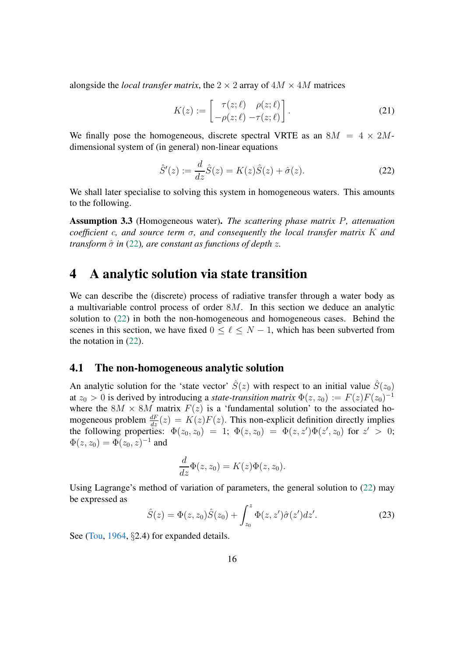alongside the *local transfer matrix*, the  $2 \times 2$  array of  $4M \times 4M$  matrices

<span id="page-15-2"></span>
$$
K(z) := \begin{bmatrix} \tau(z; \ell) & \rho(z; \ell) \\ -\rho(z; \ell) & -\tau(z; \ell) \end{bmatrix}.
$$
 (21)

We finally pose the homogeneous, discrete spectral VRTE as an  $8M = 4 \times 2M$ dimensional system of (in general) non-linear equations

<span id="page-15-0"></span>
$$
\hat{S}'(z) := \frac{d}{dz}\hat{S}(z) = K(z)\hat{S}(z) + \hat{\sigma}(z). \tag{22}
$$

We shall later specialise to solving this system in homogeneous waters. This amounts to the following.

<span id="page-15-3"></span>Assumption 3.3 (Homogeneous water). *The scattering phase matrix* P*, attenuation coefficient* c*, and source term* σ*, and consequently the local transfer matrix* K *and transform*  $\hat{\sigma}$  *in* [\(22\)](#page-15-0), *are constant as functions of depth z.* 

## 4 A analytic solution via state transition

We can describe the (discrete) process of radiative transfer through a water body as a multivariable control process of order 8M. In this section we deduce an analytic solution to [\(22\)](#page-15-0) in both the non-homogeneous and homogeneous cases. Behind the scenes in this section, we have fixed  $0 \leq \ell \leq N-1$ , which has been subverted from the notation in [\(22\)](#page-15-0).

## <span id="page-15-4"></span>4.1 The non-homogeneous analytic solution

An analytic solution for the 'state vector'  $\hat{S}(z)$  with respect to an initial value  $\hat{S}(z_0)$ at  $z_0 > 0$  is derived by introducing a *state-transition matrix*  $\Phi(z, z_0) := F(z)F(z_0)^{-1}$ where the  $8M \times 8M$  matrix  $F(z)$  is a 'fundamental solution' to the associated homogeneous problem  $\frac{dF}{dz}(z) = K(z)F(z)$ . This non-explicit definition directly implies the following properties:  $\Phi(z_0, z_0) = 1$ ;  $\Phi(z, z_0) = \Phi(z, z')\Phi(z', z_0)$  for  $z' > 0$ ;  $\Phi(z, z_0) = \Phi(z_0, z)^{-1}$  and

$$
\frac{d}{dz}\Phi(z,z_0) = K(z)\Phi(z,z_0).
$$

Using Lagrange's method of variation of parameters, the general solution to [\(22\)](#page-15-0) may be expressed as

<span id="page-15-1"></span>
$$
\hat{S}(z) = \Phi(z, z_0)\hat{S}(z_0) + \int_{z_0}^{z} \Phi(z, z')\hat{\sigma}(z')dz'. \tag{23}
$$

See [\(Tou,](#page-27-4) [1964,](#page-27-4) §2.4) for expanded details.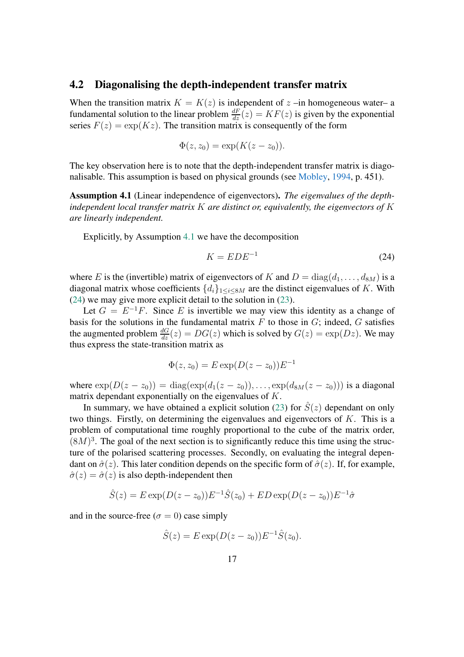### <span id="page-16-2"></span>4.2 Diagonalising the depth-independent transfer matrix

When the transition matrix  $K = K(z)$  is independent of  $z$  –in homogeneous water– a fundamental solution to the linear problem  $\frac{dF}{dz}(z) = KF(z)$  is given by the exponential series  $F(z) = \exp(Kz)$ . The transition matrix is consequently of the form

$$
\Phi(z, z_0) = \exp(K(z - z_0)).
$$

The key observation here is to note that the depth-independent transfer matrix is diagonalisable. This assumption is based on physical grounds (see [Mobley,](#page-25-2) [1994,](#page-25-2) p. 451).

<span id="page-16-0"></span>Assumption 4.1 (Linear independence of eigenvectors). *The eigenvalues of the depthindependent local transfer matrix* K *are distinct or, equivalently, the eigenvectors of* K *are linearly independent.*

Explicitly, by Assumption [4.1](#page-16-0) we have the decomposition

<span id="page-16-1"></span>
$$
K = EDE^{-1} \tag{24}
$$

where E is the (invertible) matrix of eigenvectors of K and  $D = diag(d_1, \ldots, d_{8M})$  is a diagonal matrix whose coefficients  $\{d_i\}_{1\leq i\leq 8M}$  are the distinct eigenvalues of K. With [\(24\)](#page-16-1) we may give more explicit detail to the solution in [\(23\)](#page-15-1).

Let  $G = E^{-1}F$ . Since E is invertible we may view this identity as a change of basis for the solutions in the fundamental matrix  $F$  to those in  $G$ ; indeed,  $G$  satisfies the augmented problem  $\frac{dG}{dz}(z) = DG(z)$  which is solved by  $G(z) = \exp(Dz)$ . We may thus express the state-transition matrix as

$$
\Phi(z, z_0) = E \exp(D(z - z_0)) E^{-1}
$$

where  $\exp(D(z-z_0)) = \text{diag}(\exp(d_1(z-z_0)), \dots, \exp(d_{8M}(z-z_0)))$  is a diagonal matrix dependant exponentially on the eigenvalues of K.

In summary, we have obtained a explicit solution [\(23\)](#page-15-1) for  $\hat{S}(z)$  dependant on only two things. Firstly, on determining the eigenvalues and eigenvectors of  $K$ . This is a problem of computational time roughly proportional to the cube of the matrix order,  $(8M)^3$ . The goal of the next section is to significantly reduce this time using the structure of the polarised scattering processes. Secondly, on evaluating the integral dependant on  $\hat{\sigma}(z)$ . This later condition depends on the specific form of  $\hat{\sigma}(z)$ . If, for example,  $\hat{\sigma}(z) = \hat{\sigma}(z)$  is also depth-independent then

$$
\hat{S}(z) = E \exp(D(z - z_0)) E^{-1} \hat{S}(z_0) + ED \exp(D(z - z_0)) E^{-1} \hat{\sigma}
$$

and in the source-free ( $\sigma = 0$ ) case simply

$$
\hat{S}(z) = E \exp(D(z - z_0)) E^{-1} \hat{S}(z_0).
$$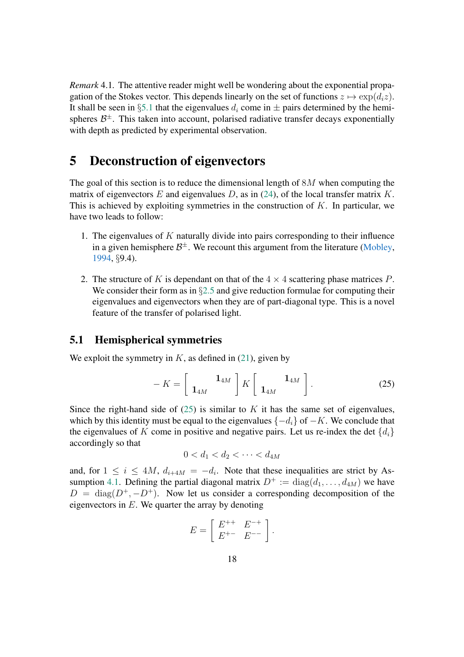*Remark* 4.1*.* The attentive reader might well be wondering about the exponential propagation of the Stokes vector. This depends linearly on the set of functions  $z \mapsto \exp(d_iz)$ . It shall be seen in §[5.1](#page-17-0) that the eigenvalues  $d_i$  come in  $\pm$  pairs determined by the hemispheres  $B^{\pm}$ . This taken into account, polarised radiative transfer decays exponentially with depth as predicted by experimental observation.

## 5 Deconstruction of eigenvectors

The goal of this section is to reduce the dimensional length of 8M when computing the matrix of eigenvectors  $E$  and eigenvalues  $D$ , as in [\(24\)](#page-16-1), of the local transfer matrix  $K$ . This is achieved by exploiting symmetries in the construction of  $K$ . In particular, we have two leads to follow:

- 1. The eigenvalues of K naturally divide into pairs corresponding to their influence in a given hemisphere  $B^{\pm}$ . We recount this argument from the literature [\(Mobley](#page-25-2), [1994,](#page-25-2) §9.4).
- 2. The structure of K is dependant on that of the  $4 \times 4$  scattering phase matrices P. We consider their form as in  $\S2.5$  $\S2.5$  and give reduction formulae for computing their eigenvalues and eigenvectors when they are of part-diagonal type. This is a novel feature of the transfer of polarised light.

## <span id="page-17-0"></span>5.1 Hemispherical symmetries

We exploit the symmetry in  $K$ , as defined in [\(21\)](#page-15-2), given by

<span id="page-17-1"></span>
$$
-K = \left[\begin{array}{cc} 1_{4M} \\ 1_{4M} \end{array}\right] K \left[\begin{array}{cc} 1_{4M} \\ 1_{4M} \end{array}\right]. \tag{25}
$$

Since the right-hand side of  $(25)$  is similar to K it has the same set of eigenvalues, which by this identity must be equal to the eigenvalues  $\{-d_i\}$  of  $-K$ . We conclude that the eigenvalues of K come in positive and negative pairs. Let us re-index the det  $\{d_i\}$ accordingly so that

$$
0
$$

and, for  $1 \leq i \leq 4M$ ,  $d_{i+4M} = -d_i$ . Note that these inequalities are strict by As-sumption [4.1.](#page-16-0) Defining the partial diagonal matrix  $D^+ := diag(d_1, \ldots, d_{4M})$  we have  $D = \text{diag}(D^+, -D^+)$ . Now let us consider a corresponding decomposition of the eigenvectors in  $E$ . We quarter the array by denoting

$$
E = \left[ \begin{array}{cc} E^{++} & E^{-+} \\ E^{+-} & E^{--} \end{array} \right].
$$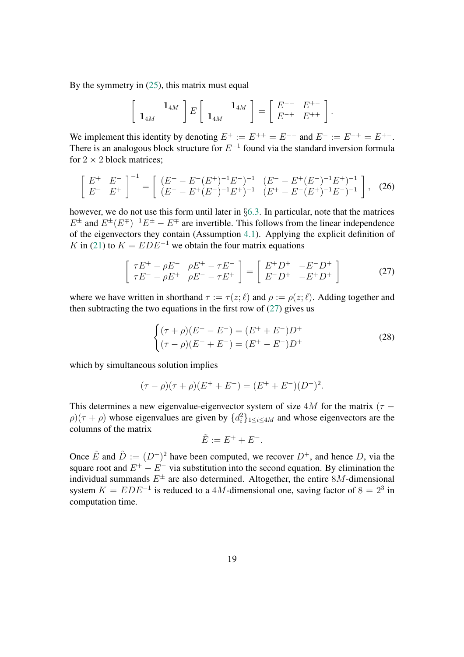By the symmetry in  $(25)$ , this matrix must equal

$$
\left[\begin{array}{cc} \mathbf{1}_{4M} \end{array}\right] E \left[\begin{array}{cc} \mathbf{1}_{4M} \end{array}\right] = \left[\begin{array}{cc} E^{--} & E^{+-} \\ E^{-+} & E^{++} \end{array}\right].
$$

We implement this identity by denoting  $E^+ := E^{++} = E^{--}$  and  $E^- := E^{++} = E^{+-}$ . There is an analogous block structure for  $E^{-1}$  found via the standard inversion formula for  $2 \times 2$  block matrices:

<span id="page-18-2"></span>
$$
\begin{bmatrix} E^+ & E^- \\ E^- & E^+ \end{bmatrix}^{-1} = \begin{bmatrix} (E^+ - E^-(E^+)^{-1}E^-)^{-1} & (E^- - E^+(E^-)^{-1}E^+)^{-1} \\ (E^- - E^+(E^-)^{-1}E^+)^{-1} & (E^+ - E^-(E^+)^{-1}E^-)^{-1} \end{bmatrix}, \quad (26)
$$

however, we do not use this form until later in §[6.3.](#page-22-0) In particular, note that the matrices  $E^{\pm}$  and  $E^{\pm}(E^{\mp})^{-1}E^{\pm} - E^{\mp}$  are invertible. This follows from the linear independence of the eigenvectors they contain (Assumption [4.1\)](#page-16-0). Applying the explicit definition of K in [\(21\)](#page-15-2) to  $K = EDE^{-1}$  we obtain the four matrix equations

<span id="page-18-1"></span>
$$
\begin{bmatrix}\n\tau E^{+} - \rho E^{-} & \rho E^{+} - \tau E^{-} \\
\tau E^{-} - \rho E^{+} & \rho E^{-} - \tau E^{+}\n\end{bmatrix} = \begin{bmatrix}\nE^{+} D^{+} & -E^{-} D^{+} \\
E^{-} D^{+} & -E^{+} D^{+}\n\end{bmatrix}
$$
\n(27)

where we have written in shorthand  $\tau := \tau(z; \ell)$  and  $\rho := \rho(z; \ell)$ . Adding together and then subtracting the two equations in the first row of  $(27)$  gives us

<span id="page-18-0"></span>
$$
\begin{cases} (\tau + \rho)(E^+ - E^-) = (E^+ + E^-)D^+\\ (\tau - \rho)(E^+ + E^-) = (E^+ - E^-)D^+ \end{cases}
$$
 (28)

which by simultaneous solution implies

$$
(\tau - \rho)(\tau + \rho)(E^+ + E^-) = (E^+ + E^-)(D^+)^2.
$$

This determines a new eigenvalue-eigenvector system of size 4M for the matrix ( $\tau$  −  $\rho$ )( $\tau + \rho$ ) whose eigenvalues are given by  $\{d_i^2\}_{1 \le i \le 4M}$  and whose eigenvectors are the columns of the matrix

$$
\tilde{E} := E^+ + E^-.
$$

Once  $\tilde{E}$  and  $\tilde{D} := (D^+)^2$  have been computed, we recover  $D^+$ , and hence D, via the square root and  $E^+ - E^-$  via substitution into the second equation. By elimination the individual summands  $E^{\pm}$  are also determined. Altogether, the entire 8M-dimensional system  $K = EDE^{-1}$  is reduced to a 4M-dimensional one, saving factor of  $8 = 2<sup>3</sup>$  in computation time.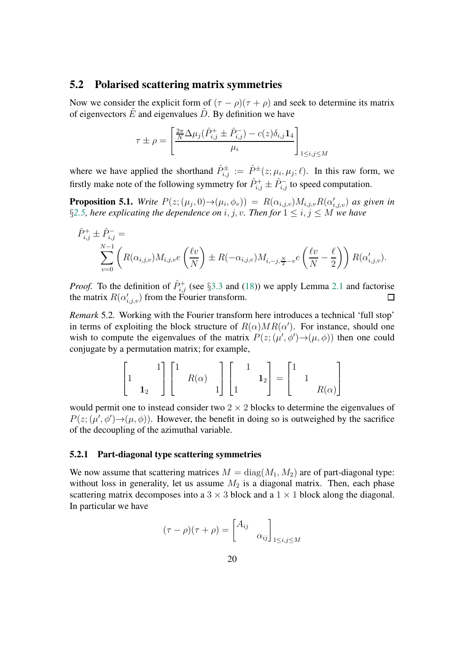### 5.2 Polarised scattering matrix symmetries

Now we consider the explicit form of  $(\tau - \rho)(\tau + \rho)$  and seek to determine its matrix of eigenvectors  $\hat{E}$  and eigenvalues  $\hat{D}$ . By definition we have

$$
\tau \pm \rho = \left[ \frac{\frac{2\pi}{N} \Delta \mu_j (\hat{P}_{i,j}^+ \pm \hat{P}_{i,j}^-) - c(z) \delta_{i,j} \mathbf{1}_4}{\mu_i} \right]_{1 \le i,j \le M}
$$

where we have applied the shorthand  $\hat{P}_{i,j}^{\pm} := \hat{P}^{\pm}(z; \mu_i, \mu_j; \ell)$ . In this raw form, we firstly make note of the following symmetry for  $\hat{P}^+_{i,j} \pm \hat{P}^-_{i,j}$  to speed computation.

**Proposition 5.1.** *Write*  $P(z; (\mu_j, 0) \rightarrow (\mu_i, \phi_v)) = R(\alpha_{i,j,v}) M_{i,j,v} R(\alpha_{i,j,v}')$  as given in §[2.5,](#page-9-0) here explicating the dependence on  $i, j, v$ . Then for  $1 \leq i, j \leq M$  we have

$$
\hat{P}_{i,j}^{+} \pm \hat{P}_{i,j}^{-} = \sum_{v=0}^{N-1} \left( R(\alpha_{i,j,v}) M_{i,j,v} e\left(\frac{\ell v}{N}\right) \pm R(-\alpha_{i,j,v}) M_{i,-j,\frac{N}{2}-v} e\left(\frac{\ell v}{N}-\frac{\ell}{2}\right) \right) R(\alpha'_{i,j,v}).
$$

*Proof.* To the definition of  $\hat{P}_{i,j}^+$  (see §[3.3](#page-12-0) and [\(18\)](#page-14-1)) we apply Lemma [2.1](#page-9-4) and factorise the matrix  $R(\alpha'_{i,j,v})$  from the Fourier transform.  $\Box$ 

*Remark* 5.2*.* Working with the Fourier transform here introduces a technical 'full stop' in terms of exploiting the block structure of  $R(\alpha)MR(\alpha')$ . For instance, should one wish to compute the eigenvalues of the matrix  $P(z; (\mu', \phi') \rightarrow (\mu, \phi))$  then one could conjugate by a permutation matrix; for example,

$$
\begin{bmatrix} 1 & 1 \\ 1 & 1_2 \end{bmatrix} \begin{bmatrix} 1 & & \\ & R(\alpha) & \\ & & 1 \end{bmatrix} \begin{bmatrix} 1 & & \\ & 1_2 \end{bmatrix} = \begin{bmatrix} 1 & & \\ & 1 & \\ & & R(\alpha) \end{bmatrix}
$$

would permit one to instead consider two  $2 \times 2$  blocks to determine the eigenvalues of  $P(z; (\mu', \phi') \rightarrow (\mu, \phi))$ . However, the benefit in doing so is outweighed by the sacrifice of the decoupling of the azimuthal variable.

#### 5.2.1 Part-diagonal type scattering symmetries

We now assume that scattering matrices  $M = \text{diag}(M_1, M_2)$  are of part-diagonal type: without loss in generality, let us assume  $M_2$  is a diagonal matrix. Then, each phase scattering matrix decomposes into a  $3 \times 3$  block and a  $1 \times 1$  block along the diagonal. In particular we have

$$
(\tau - \rho)(\tau + \rho) = \begin{bmatrix} A_{ij} & \\ & \alpha_{ij} \end{bmatrix}_{1 \le i, j \le M}
$$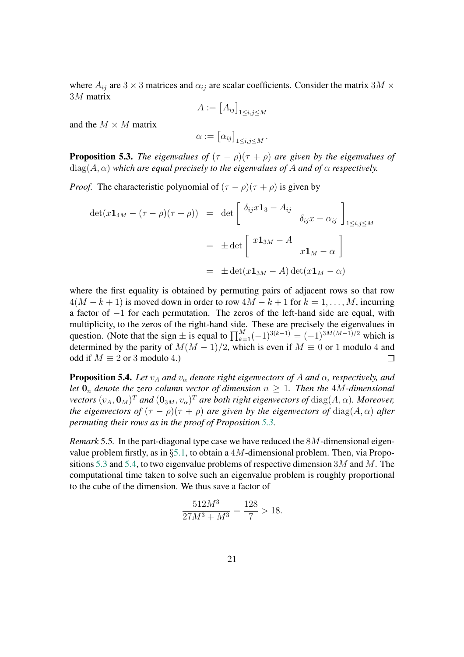where  $A_{ij}$  are 3 × 3 matrices and  $\alpha_{ij}$  are scalar coefficients. Consider the matrix 3M  $\times$ 3M matrix

$$
A := \big[A_{ij}\big]_{1 \le i,j \le M}
$$

and the  $M \times M$  matrix

$$
\alpha := [\alpha_{ij}]_{1 \le i,j \le M}.
$$

<span id="page-20-0"></span>**Proposition 5.3.** *The eigenvalues of*  $(\tau - \rho)(\tau + \rho)$  *are given by the eigenvalues of*  $diag(A, \alpha)$  *which are equal precisely to the eigenvalues of A and of*  $\alpha$  *respectively.* 

*Proof.* The characteristic polynomial of  $(\tau - \rho)(\tau + \rho)$  is given by

$$
\begin{aligned} \det(x\mathbf{1}_{4M} - (\tau - \rho)(\tau + \rho)) &= \det\begin{bmatrix} \delta_{ij}x\mathbf{1}_3 - A_{ij} \\ \delta_{ij}x - \alpha_{ij} \end{bmatrix}_{1 \le i,j \le M} \\ &= \pm \det\begin{bmatrix} x\mathbf{1}_{3M} - A \\ x\mathbf{1}_{M} - \alpha \end{bmatrix} \\ &= \pm \det(x\mathbf{1}_{3M} - A)\det(x\mathbf{1}_{M} - \alpha) \end{aligned}
$$

where the first equality is obtained by permuting pairs of adjacent rows so that row  $4(M - k + 1)$  is moved down in order to row  $4M - k + 1$  for  $k = 1, ..., M$ , incurring a factor of −1 for each permutation. The zeros of the left-hand side are equal, with multiplicity, to the zeros of the right-hand side. These are precisely the eigenvalues in question. (Note that the sign  $\pm$  is equal to  $\prod_{k=1}^{M}(-1)^{3(k-1)} = (-1)^{3M(M-1)/2}$  which is determined by the parity of  $M(M-1)/2$ , which is even if  $M \equiv 0$  or 1 modulo 4 and odd if  $M \equiv 2$  or 3 modulo 4.)  $\Box$ 

<span id="page-20-1"></span>**Proposition 5.4.** *Let*  $v_A$  *and*  $v_\alpha$  *denote right eigenvectors of* A *and*  $\alpha$ *, respectively, and let*  $\mathbf{0}_n$  *denote the zero column vector of dimension*  $n \geq 1$ *. Then the* 4*M*-dimensional  $\vec{v}$  vectors  $(v_A, \mathbf{0}_M)^T$  and  $(\mathbf{0}_{3M}, v_\alpha)^T$  are both right eigenvectors of  $\text{diag}(A, \alpha)$ *. Moreover, the eigenvectors of*  $(\tau - \rho)(\tau + \rho)$  *are given by the eigenvectors of* diag( $A, \alpha$ ) *after permuting their rows as in the proof of Proposition [5.3.](#page-20-0)*

*Remark* 5.5*.* In the part-diagonal type case we have reduced the 8M-dimensional eigen-value problem firstly, as in §[5.1,](#page-17-0) to obtain a  $4M$ -dimensional problem. Then, via Propo-sitions [5.3](#page-20-0) and [5.4,](#page-20-1) to two eigenvalue problems of respective dimension  $3M$  and M. The computational time taken to solve such an eigenvalue problem is roughly proportional to the cube of the dimension. We thus save a factor of

$$
\frac{512M^3}{27M^3 + M^3} = \frac{128}{7} > 18.
$$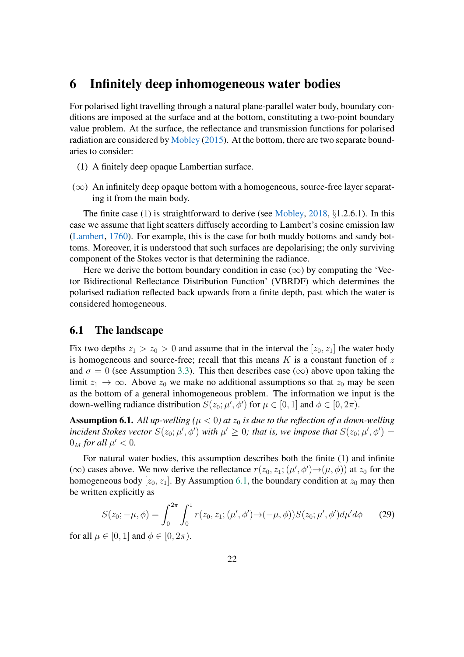## <span id="page-21-0"></span>6 Infinitely deep inhomogeneous water bodies

For polarised light travelling through a natural plane-parallel water body, boundary conditions are imposed at the surface and at the bottom, constituting a two-point boundary value problem. At the surface, the reflectance and transmission functions for polarised radiation are considered by [Mobley](#page-27-5) [\(2015\)](#page-27-5). At the bottom, there are two separate boundaries to consider:

- (1) A finitely deep opaque Lambertian surface.
- $(\infty)$  An infinitely deep opaque bottom with a homogeneous, source-free layer separating it from the main body.

The finite case (1) is straightforward to derive (see [Mobley,](#page-26-6) [2018,](#page-26-6) §1.2.6.1). In this case we assume that light scatters diffusely according to Lambert's cosine emission law [\(Lambert,](#page-27-6) [1760\)](#page-27-6). For example, this is the case for both muddy bottoms and sandy bottoms. Moreover, it is understood that such surfaces are depolarising; the only surviving component of the Stokes vector is that determining the radiance.

Here we derive the bottom boundary condition in case ( $\infty$ ) by computing the 'Vector Bidirectional Reflectance Distribution Function' (VBRDF) which determines the polarised radiation reflected back upwards from a finite depth, past which the water is considered homogeneous.

## 6.1 The landscape

Fix two depths  $z_1 > z_0 > 0$  and assume that in the interval the  $[z_0, z_1]$  the water body is homogeneous and source-free; recall that this means  $K$  is a constant function of  $z$ and  $\sigma = 0$  (see Assumption [3.3\)](#page-15-3). This then describes case ( $\infty$ ) above upon taking the limit  $z_1 \rightarrow \infty$ . Above  $z_0$  we make no additional assumptions so that  $z_0$  may be seen as the bottom of a general inhomogeneous problem. The information we input is the down-welling radiance distribution  $S(z_0; \mu', \phi')$  for  $\mu \in [0, 1]$  and  $\phi \in [0, 2\pi)$ .

<span id="page-21-1"></span>**Assumption 6.1.** All up-welling ( $\mu < 0$ ) at  $z_0$  is due to the reflection of a down-welling *incident Stokes vector*  $S(z_0; \mu', \phi')$  *with*  $\mu' \geq 0$ ; that is, we impose that  $S(z_0; \mu', \phi') =$  $0_M$  *for all*  $\mu' < 0$ .

For natural water bodies, this assumption describes both the finite (1) and infinite ( $\infty$ ) cases above. We now derive the reflectance  $r(z_0, z_1; (\mu', \phi') \rightarrow (\mu, \phi))$  at  $z_0$  for the homogeneous body  $[z_0, z_1]$ . By Assumption [6.1,](#page-21-1) the boundary condition at  $z_0$  may then be written explicitly as

<span id="page-21-2"></span>
$$
S(z_0; -\mu, \phi) = \int_0^{2\pi} \int_0^1 r(z_0, z_1; (\mu', \phi') \to (-\mu, \phi)) S(z_0; \mu', \phi') d\mu' d\phi \qquad (29)
$$

for all  $\mu \in [0, 1]$  and  $\phi \in [0, 2\pi)$ .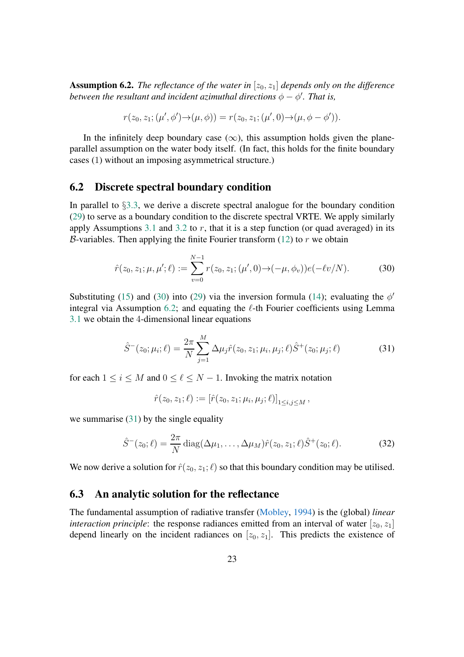<span id="page-22-2"></span>**Assumption 6.2.** *The reflectance of the water in*  $[z_0, z_1]$  *depends only on the difference between the resultant and incident azimuthal directions*  $\phi - \phi'$ *. That is,* 

$$
r(z_0, z_1; (\mu', \phi') \to (\mu, \phi)) = r(z_0, z_1; (\mu', 0) \to (\mu, \phi - \phi')).
$$

In the infinitely deep boundary case  $(\infty)$ , this assumption holds given the planeparallel assumption on the water body itself. (In fact, this holds for the finite boundary cases (1) without an imposing asymmetrical structure.)

## 6.2 Discrete spectral boundary condition

In parallel to §[3.3,](#page-12-0) we derive a discrete spectral analogue for the boundary condition [\(29\)](#page-21-2) to serve as a boundary condition to the discrete spectral VRTE. We apply similarly apply Assumptions [3.1](#page-11-2) and [3.2](#page-13-2) to r, that it is a step function (or quad averaged) in its B-variables. Then applying the finite Fourier transform  $(12)$  to r we obtain

<span id="page-22-1"></span>
$$
\hat{r}(z_0, z_1; \mu, \mu'; \ell) := \sum_{v=0}^{N-1} r(z_0, z_1; (\mu', 0) \to (-\mu, \phi_v)) e(-\ell v/N).
$$
 (30)

Substituting [\(15\)](#page-12-4) and [\(30\)](#page-22-1) into [\(29\)](#page-21-2) via the inversion formula [\(14\)](#page-11-0); evaluating the  $\phi'$ integral via Assumption [6.2;](#page-22-2) and equating the  $\ell$ -th Fourier coefficients using Lemma [3.1](#page-12-2) we obtain the 4-dimensional linear equations

<span id="page-22-3"></span>
$$
\hat{S}^-(z_0; \mu_i; \ell) = \frac{2\pi}{N} \sum_{j=1}^M \Delta \mu_j \hat{r}(z_0, z_1; \mu_i, \mu_j; \ell) \hat{S}^+(z_0; \mu_j; \ell)
$$
(31)

for each  $1 \le i \le M$  and  $0 \le \ell \le N - 1$ . Invoking the matrix notation

$$
\hat{r}(z_0, z_1; \ell) := \left[\hat{r}(z_0, z_1; \mu_i, \mu_j; \ell)\right]_{1 \leq i, j \leq M},
$$

we summarise [\(31\)](#page-22-3) by the single equality

<span id="page-22-4"></span>
$$
\hat{S}^{-}(z_0; \ell) = \frac{2\pi}{N} \operatorname{diag}(\Delta \mu_1, \dots, \Delta \mu_M) \hat{r}(z_0, z_1; \ell) \hat{S}^{+}(z_0; \ell).
$$
 (32)

We now derive a solution for  $\hat{r}(z_0, z_1; \ell)$  so that this boundary condition may be utilised.

## <span id="page-22-0"></span>6.3 An analytic solution for the reflectance

The fundamental assumption of radiative transfer [\(Mobley](#page-25-2), [1994](#page-25-2)) is the (global) *linear interaction principle*: the response radiances emitted from an interval of water  $[z_0, z_1]$ depend linearly on the incident radiances on  $[z_0, z_1]$ . This predicts the existence of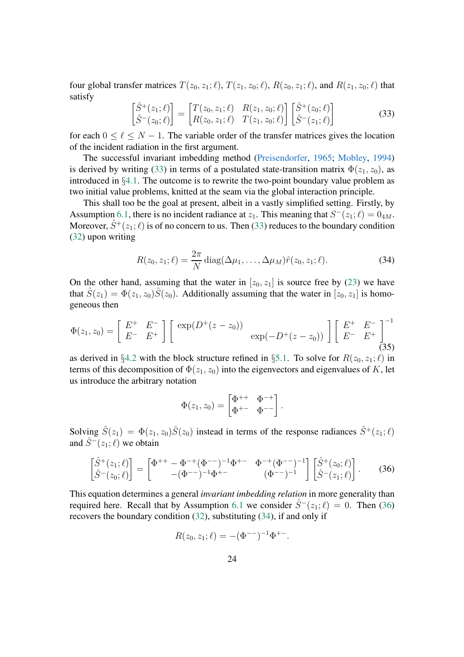four global transfer matrices  $T(z_0, z_1; \ell), T(z_1, z_0; \ell), R(z_0, z_1; \ell),$  and  $R(z_1, z_0; \ell)$  that satisfy

<span id="page-23-1"></span>
$$
\begin{bmatrix}\n\hat{S}^{+}(z_{1};\ell) \\
\hat{S}^{-}(z_{0};\ell)\n\end{bmatrix} =\n\begin{bmatrix}\nT(z_{0}, z_{1}; \ell) & R(z_{1}, z_{0}; \ell) \\
R(z_{0}, z_{1}; \ell) & T(z_{1}, z_{0}; \ell)\n\end{bmatrix}\n\begin{bmatrix}\n\hat{S}^{+}(z_{0}; \ell) \\
\hat{S}^{-}(z_{1}; \ell)\n\end{bmatrix}
$$
\n(33)

for each  $0 \le \ell \le N - 1$ . The variable order of the transfer matrices gives the location of the incident radiation in the first argument.

The successful invariant imbedding method [\(Preisendorfer](#page-25-1), [1965;](#page-25-1) [Mobley,](#page-25-2) [1994\)](#page-25-2) is derived by writing [\(33\)](#page-23-1) in terms of a postulated state-transition matrix  $\Phi(z_1, z_0)$ , as introduced in §[4.1.](#page-15-4) The outcome is to rewrite the two-point boundary value problem as two initial value problems, knitted at the seam via the global interaction principle.

This shall too be the goal at present, albeit in a vastly simplified setting. Firstly, by Assumption [6.1,](#page-21-1) there is no incident radiance at  $z_1$ . This meaning that  $S^-(z_1;\ell) = 0_{4M}$ . Moreover,  $\hat{S}^+(z_1;\ell)$  is of no concern to us. Then [\(33\)](#page-23-1) reduces to the boundary condition [\(32\)](#page-22-4) upon writing

<span id="page-23-2"></span>
$$
R(z_0, z_1; \ell) = \frac{2\pi}{N} \operatorname{diag}(\Delta \mu_1, \dots, \Delta \mu_M) \hat{r}(z_0, z_1; \ell).
$$
 (34)

.

On the other hand, assuming that the water in  $[z_0, z_1]$  is source free by [\(23\)](#page-15-1) we have that  $\hat{S}(z_1) = \Phi(z_1, z_0)\hat{S}(z_0)$ . Additionally assuming that the water in  $[z_0, z_1]$  is homogeneous then

<span id="page-23-3"></span>
$$
\Phi(z_1, z_0) = \begin{bmatrix} E^+ & E^- \\ E^- & E^+ \end{bmatrix} \begin{bmatrix} \exp(D^+(z - z_0)) & \exp(-D^+(z - z_0)) \end{bmatrix} \begin{bmatrix} E^+ & E^- \\ E^- & E^+ \end{bmatrix}^{-1} (35)
$$

as derived in §[4.2](#page-16-2) with the block structure refined in §[5.1.](#page-17-0) To solve for  $R(z_0, z_1; \ell)$  in terms of this decomposition of  $\Phi(z_1, z_0)$  into the eigenvectors and eigenvalues of K, let us introduce the arbitrary notation

$$
\Phi(z_1, z_0) = \begin{bmatrix} \Phi^{++} & \Phi^{-+} \\ \Phi^{+-} & \Phi^{--} \end{bmatrix}
$$

Solving  $\hat{S}(z_1) = \Phi(z_1, z_0)\hat{S}(z_0)$  instead in terms of the response radiances  $\hat{S}^+(z_1;\ell)$ and  $\hat{S}^-(z_1;\ell)$  we obtain

<span id="page-23-0"></span>
$$
\begin{bmatrix} \hat{S}^{+}(z_{1};\ell) \\ \hat{S}^{-}(z_{0};\ell) \end{bmatrix} = \begin{bmatrix} \Phi^{++} - \Phi^{-+}(\Phi^{--})^{-1}\Phi^{+-} & \Phi^{-+}(\Phi^{--})^{-1} \\ -(\Phi^{--})^{-1}\Phi^{+-} & (\Phi^{--})^{-1} \end{bmatrix} \begin{bmatrix} \hat{S}^{+}(z_{0};\ell) \\ \hat{S}^{-}(z_{1};\ell) \end{bmatrix}.
$$
 (36)

This equation determines a general *invariant imbedding relation* in more generality than required here. Recall that by Assumption [6.1](#page-21-1) we consider  $\hat{S}^-(z_1;\ell) = 0$ . Then [\(36\)](#page-23-0) recovers the boundary condition [\(32\)](#page-22-4), substituting [\(34\)](#page-23-2), if and only if

$$
R(z_0, z_1; \ell) = -(\Phi^{--})^{-1} \Phi^{+-}.
$$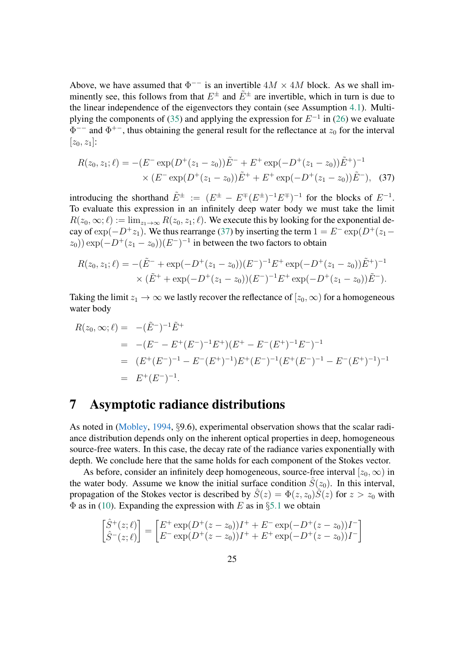Above, we have assumed that  $\Phi^{-}$  is an invertible  $4M \times 4M$  block. As we shall imminently see, this follows from that  $E^{\pm}$  and  $\tilde{E}^{\pm}$  are invertible, which in turn is due to the linear independence of the eigenvectors they contain (see Assumption [4.1\)](#page-16-0). Multi-plying the components of [\(35\)](#page-23-3) and applying the expression for  $E^{-1}$  in [\(26\)](#page-18-2) we evaluate  $\Phi^{-}$  and  $\Phi^{+-}$ , thus obtaining the general result for the reflectance at  $z_0$  for the interval  $[z_0, z_1]$ :

<span id="page-24-1"></span>
$$
R(z_0, z_1; \ell) = -(E^- \exp(D^+(z_1 - z_0))\tilde{E}^- + E^+ \exp(-D^+(z_1 - z_0))\tilde{E}^+)^{-1}
$$
  
×  $(E^- \exp(D^+(z_1 - z_0))\tilde{E}^+ + E^+ \exp(-D^+(z_1 - z_0))\tilde{E}^-),$  (37)

introducing the shorthand  $\tilde{E}^{\pm} := (E^{\pm} - E^{\mp} (E^{\pm})^{-1} E^{\mp})^{-1}$  for the blocks of  $E^{-1}$ . To evaluate this expression in an infinitely deep water body we must take the limit  $R(z_0,\infty;\ell) := \lim_{z_1\to\infty} R(z_0,z_1;\ell)$ . We execute this by looking for the exponential decay of  $\exp(-D^+z_1)$ . We thus rearrange [\(37\)](#page-24-1) by inserting the term  $1 = E^- \exp(D^+(z_1 (z_0)$ )  $\exp(-D^+(z_1-z_0))(E^-)^{-1}$  in between the two factors to obtain

$$
R(z_0, z_1; \ell) = -(\tilde{E}^- + \exp(-D^+(z_1 - z_0))(E^-)^{-1}E^+ \exp(-D^+(z_1 - z_0))\tilde{E}^+)^{-1}
$$
  
 
$$
\times (\tilde{E}^+ + \exp(-D^+(z_1 - z_0))(E^-)^{-1}E^+ \exp(-D^+(z_1 - z_0))\tilde{E}^-).
$$

Taking the limit  $z_1 \to \infty$  we lastly recover the reflectance of  $[z_0, \infty)$  for a homogeneous water body

$$
R(z_0, \infty; \ell) = -(E^-)^{-1}E^+
$$
  
= -(E^- - E^+(E^-)^{-1}E^+)(E^+ - E^-(E^+)^{-1}E^-)^{-1}  
= (E^+(E^-)^{-1} - E^-(E^+)^{-1})E^+(E^-)^{-1}(E^+(E^-)^{-1} - E^-(E^+)^{-1})^{-1}  
= E^+(E^-)^{-1}.

## <span id="page-24-0"></span>7 Asymptotic radiance distributions

As noted in [\(Mobley](#page-25-2), [1994](#page-25-2), §9.6), experimental observation shows that the scalar radiance distribution depends only on the inherent optical properties in deep, homogeneous source-free waters. In this case, the decay rate of the radiance varies exponentially with depth. We conclude here that the same holds for each component of the Stokes vector.

As before, consider an infinitely deep homogeneous, source-free interval  $[z_0, \infty)$  in the water body. Assume we know the initial surface condition  $\hat{S}(z_0)$ . In this interval, propagation of the Stokes vector is described by  $\hat{S}(z) = \Phi(z, z_0)\hat{S}(z)$  for  $z > z_0$  with  $\Phi$  as in [\(10\)](#page-9-1). Expanding the expression with E as in §[5.1](#page-17-0) we obtain

$$
\begin{bmatrix} \hat{S}^{+}(z;\ell) \\ \hat{S}^{-}(z;\ell) \end{bmatrix} = \begin{bmatrix} E^{+} \exp(D^{+}(z-z_{0}))I^{+} + E^{-} \exp(-D^{+}(z-z_{0}))I^{-} \\ E^{-} \exp(D^{+}(z-z_{0}))I^{+} + E^{+} \exp(-D^{+}(z-z_{0}))I^{-} \end{bmatrix}
$$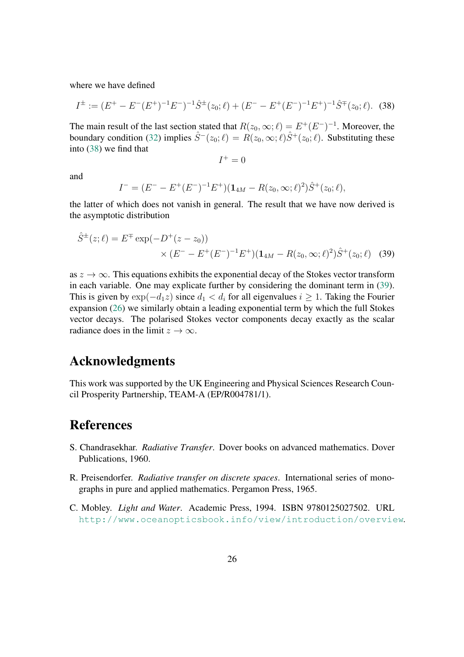where we have defined

<span id="page-25-4"></span>
$$
I^{\pm} := (E^{+} - E^{-}(E^{+})^{-1}E^{-})^{-1}\hat{S}^{\pm}(z_{0}; \ell) + (E^{-} - E^{+}(E^{-})^{-1}E^{+})^{-1}\hat{S}^{\mp}(z_{0}; \ell). \tag{38}
$$

The main result of the last section stated that  $R(z_0, \infty; \ell) = E^+(E^-)^{-1}$ . Moreover, the boundary condition [\(32\)](#page-22-4) implies  $\hat{S}^{-}(z_0;\ell) = R(z_0,\infty;\ell)\hat{S}^{+}(z_0;\ell)$ . Substituting these into [\(38\)](#page-25-4) we find that

<span id="page-25-3"></span> $I^+ = 0$ 

and

$$
I^{-} = (E^{-} - E^{+}(E^{-})^{-1}E^{+})(\mathbf{1}_{4M} - R(z_0, \infty; \ell)^{2})\hat{S}^{+}(z_0; \ell),
$$

the latter of which does not vanish in general. The result that we have now derived is the asymptotic distribution

$$
\hat{S}^{\pm}(z;\ell) = E^{\mp} \exp(-D^+(z-z_0))
$$
  
 
$$
\times (E^- - E^+(E^-)^{-1}E^+)(\mathbf{1}_{4M} - R(z_0,\infty;\ell)^2)\hat{S}^+(z_0;\ell)
$$
 (39)

as  $z \to \infty$ . This equations exhibits the exponential decay of the Stokes vector transform in each variable. One may explicate further by considering the dominant term in [\(39\)](#page-25-3). This is given by  $\exp(-d_1z)$  since  $d_1 < d_i$  for all eigenvalues  $i \geq 1$ . Taking the Fourier expansion [\(26\)](#page-18-2) we similarly obtain a leading exponential term by which the full Stokes vector decays. The polarised Stokes vector components decay exactly as the scalar radiance does in the limit  $z \to \infty$ .

## Acknowledgments

This work was supported by the UK Engineering and Physical Sciences Research Council Prosperity Partnership, TEAM-A (EP/R004781/1).

## References

- <span id="page-25-0"></span>S. Chandrasekhar. *Radiative Transfer*. Dover books on advanced mathematics. Dover Publications, 1960.
- <span id="page-25-1"></span>R. Preisendorfer. *Radiative transfer on discrete spaces*. International series of monographs in pure and applied mathematics. Pergamon Press, 1965.
- <span id="page-25-2"></span>C. Mobley. *Light and Water*. Academic Press, 1994. ISBN 9780125027502. URL <http://www.oceanopticsbook.info/view/introduction/overview>.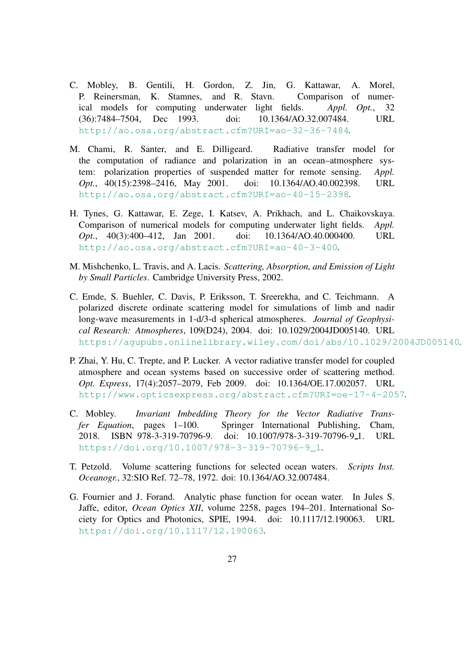- <span id="page-26-0"></span>C. Mobley, B. Gentili, H. Gordon, Z. Jin, G. Kattawar, A. Morel, P. Reinersman, K. Stamnes, and R. Stavn. Comparison of numerical models for computing underwater light fields. *Appl. Opt.*, 32 (36):7484–7504, Dec 1993. doi: 10.1364/AO.32.007484. URL <http://ao.osa.org/abstract.cfm?URI=ao-32-36-7484>.
- <span id="page-26-1"></span>M. Chami, R. Santer, and E. Dilligeard. Radiative transfer model for the computation of radiance and polarization in an ocean–atmosphere system: polarization properties of suspended matter for remote sensing. *Appl. Opt.*, 40(15):2398–2416, May 2001. doi: 10.1364/AO.40.002398. URL <http://ao.osa.org/abstract.cfm?URI=ao-40-15-2398>.
- <span id="page-26-2"></span>H. Tynes, G. Kattawar, E. Zege, I. Katsev, A. Prikhach, and L. Chaikovskaya. Comparison of numerical models for computing underwater light fields. *Appl. Opt.*, 40(3):400–412, Jan 2001. doi: 10.1364/AO.40.000400. URL <http://ao.osa.org/abstract.cfm?URI=ao-40-3-400>.
- <span id="page-26-3"></span>M. Mishchenko, L. Travis, and A. Lacis. *Scattering, Absorption, and Emission of Light by Small Particles*. Cambridge University Press, 2002.
- <span id="page-26-4"></span>C. Emde, S. Buehler, C. Davis, P. Eriksson, T. Sreerekha, and C. Teichmann. A polarized discrete ordinate scattering model for simulations of limb and nadir long-wave measurements in 1-d/3-d spherical atmospheres. *Journal of Geophysical Research: Atmospheres*, 109(D24), 2004. doi: 10.1029/2004JD005140. URL <https://agupubs.onlinelibrary.wiley.com/doi/abs/10.1029/2004JD005140>.
- <span id="page-26-5"></span>P. Zhai, Y. Hu, C. Trepte, and P. Lucker. A vector radiative transfer model for coupled atmosphere and ocean systems based on successive order of scattering method. *Opt. Express*, 17(4):2057–2079, Feb 2009. doi: 10.1364/OE.17.002057. URL <http://www.opticsexpress.org/abstract.cfm?URI=oe-17-4-2057>.
- <span id="page-26-6"></span>C. Mobley. *Invariant Imbedding Theory for the Vector Radiative Transfer Equation*, pages 1–100. Springer International Publishing, Cham, 2018. ISBN 978-3-319-70796-9. doi: 10.1007/978-3-319-70796-9 1. URL [https://doi.org/10.1007/978-3-319-70796-9\\_1](https://doi.org/10.1007/978-3-319-70796-9_1).
- <span id="page-26-7"></span>T. Petzold. Volume scattering functions for selected ocean waters. *Scripts Inst. Oceanogr.*, 32:SIO Ref. 72–78, 1972. doi: 10.1364/AO.32.007484.
- <span id="page-26-8"></span>G. Fournier and J. Forand. Analytic phase function for ocean water. In Jules S. Jaffe, editor, *Ocean Optics XII*, volume 2258, pages 194–201. International Society for Optics and Photonics, SPIE, 1994. doi: 10.1117/12.190063. URL <https://doi.org/10.1117/12.190063>.